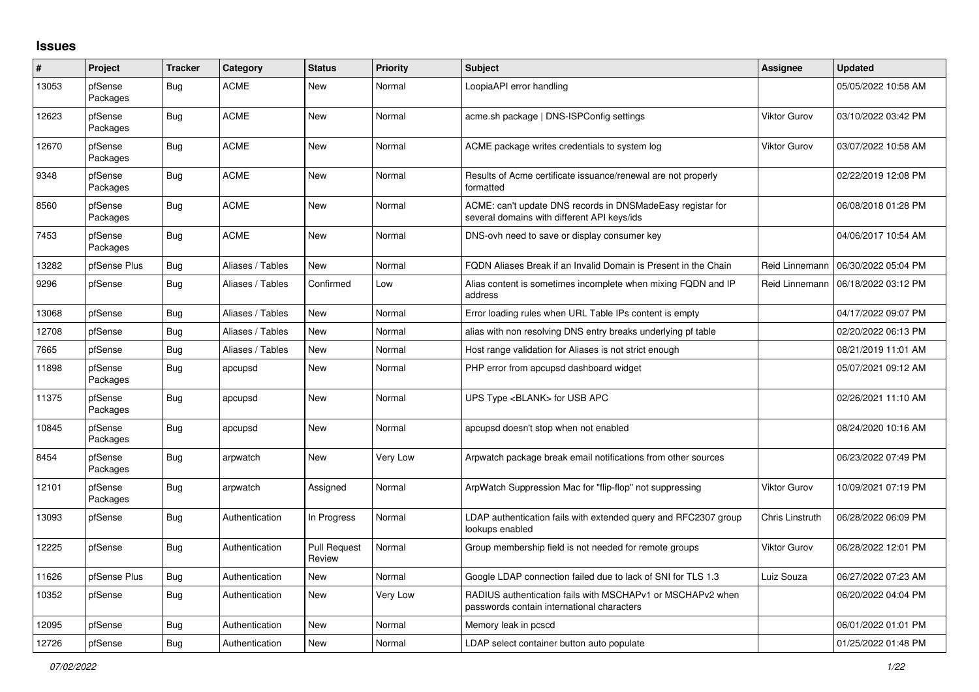## **Issues**

| #     | Project             | <b>Tracker</b> | Category         | <b>Status</b>                 | <b>Priority</b> | <b>Subject</b>                                                                                            | Assignee            | <b>Updated</b>      |
|-------|---------------------|----------------|------------------|-------------------------------|-----------------|-----------------------------------------------------------------------------------------------------------|---------------------|---------------------|
| 13053 | pfSense<br>Packages | Bug            | <b>ACME</b>      | New                           | Normal          | LoopiaAPI error handling                                                                                  |                     | 05/05/2022 10:58 AM |
| 12623 | pfSense<br>Packages | <b>Bug</b>     | ACME             | New                           | Normal          | acme.sh package   DNS-ISPConfig settings                                                                  | Viktor Gurov        | 03/10/2022 03:42 PM |
| 12670 | pfSense<br>Packages | <b>Bug</b>     | <b>ACME</b>      | <b>New</b>                    | Normal          | ACME package writes credentials to system log                                                             | Viktor Gurov        | 03/07/2022 10:58 AM |
| 9348  | pfSense<br>Packages | <b>Bug</b>     | <b>ACME</b>      | <b>New</b>                    | Normal          | Results of Acme certificate issuance/renewal are not properly<br>formatted                                |                     | 02/22/2019 12:08 PM |
| 8560  | pfSense<br>Packages | Bug            | <b>ACME</b>      | <b>New</b>                    | Normal          | ACME: can't update DNS records in DNSMadeEasy registar for<br>several domains with different API keys/ids |                     | 06/08/2018 01:28 PM |
| 7453  | pfSense<br>Packages | <b>Bug</b>     | <b>ACME</b>      | <b>New</b>                    | Normal          | DNS-ovh need to save or display consumer key                                                              |                     | 04/06/2017 10:54 AM |
| 13282 | pfSense Plus        | <b>Bug</b>     | Aliases / Tables | New                           | Normal          | FQDN Aliases Break if an Invalid Domain is Present in the Chain                                           | Reid Linnemann      | 06/30/2022 05:04 PM |
| 9296  | pfSense             | <b>Bug</b>     | Aliases / Tables | Confirmed                     | Low             | Alias content is sometimes incomplete when mixing FQDN and IP<br>address                                  | Reid Linnemann      | 06/18/2022 03:12 PM |
| 13068 | pfSense             | <b>Bug</b>     | Aliases / Tables | New                           | Normal          | Error loading rules when URL Table IPs content is empty                                                   |                     | 04/17/2022 09:07 PM |
| 12708 | pfSense             | <b>Bug</b>     | Aliases / Tables | New                           | Normal          | alias with non resolving DNS entry breaks underlying pf table                                             |                     | 02/20/2022 06:13 PM |
| 7665  | pfSense             | <b>Bug</b>     | Aliases / Tables | <b>New</b>                    | Normal          | Host range validation for Aliases is not strict enough                                                    |                     | 08/21/2019 11:01 AM |
| 11898 | pfSense<br>Packages | <b>Bug</b>     | apcupsd          | New                           | Normal          | PHP error from apcupsd dashboard widget                                                                   |                     | 05/07/2021 09:12 AM |
| 11375 | pfSense<br>Packages | <b>Bug</b>     | apcupsd          | New                           | Normal          | UPS Type <blank> for USB APC</blank>                                                                      |                     | 02/26/2021 11:10 AM |
| 10845 | pfSense<br>Packages | <b>Bug</b>     | apcupsd          | <b>New</b>                    | Normal          | apcupsd doesn't stop when not enabled                                                                     |                     | 08/24/2020 10:16 AM |
| 8454  | pfSense<br>Packages | Bug            | arpwatch         | <b>New</b>                    | Very Low        | Arpwatch package break email notifications from other sources                                             |                     | 06/23/2022 07:49 PM |
| 12101 | pfSense<br>Packages | <b>Bug</b>     | arpwatch         | Assigned                      | Normal          | ArpWatch Suppression Mac for "flip-flop" not suppressing                                                  | <b>Viktor Gurov</b> | 10/09/2021 07:19 PM |
| 13093 | pfSense             | <b>Bug</b>     | Authentication   | In Progress                   | Normal          | LDAP authentication fails with extended query and RFC2307 group<br>lookups enabled                        | Chris Linstruth     | 06/28/2022 06:09 PM |
| 12225 | pfSense             | Bug            | Authentication   | <b>Pull Request</b><br>Review | Normal          | Group membership field is not needed for remote groups                                                    | <b>Viktor Gurov</b> | 06/28/2022 12:01 PM |
| 11626 | pfSense Plus        | Bug            | Authentication   | <b>New</b>                    | Normal          | Google LDAP connection failed due to lack of SNI for TLS 1.3                                              | Luiz Souza          | 06/27/2022 07:23 AM |
| 10352 | pfSense             | <b>Bug</b>     | Authentication   | New                           | Very Low        | RADIUS authentication fails with MSCHAPv1 or MSCHAPv2 when<br>passwords contain international characters  |                     | 06/20/2022 04:04 PM |
| 12095 | pfSense             | <b>Bug</b>     | Authentication   | <b>New</b>                    | Normal          | Memory leak in pcscd                                                                                      |                     | 06/01/2022 01:01 PM |
| 12726 | pfSense             | Bug            | Authentication   | New                           | Normal          | LDAP select container button auto populate                                                                |                     | 01/25/2022 01:48 PM |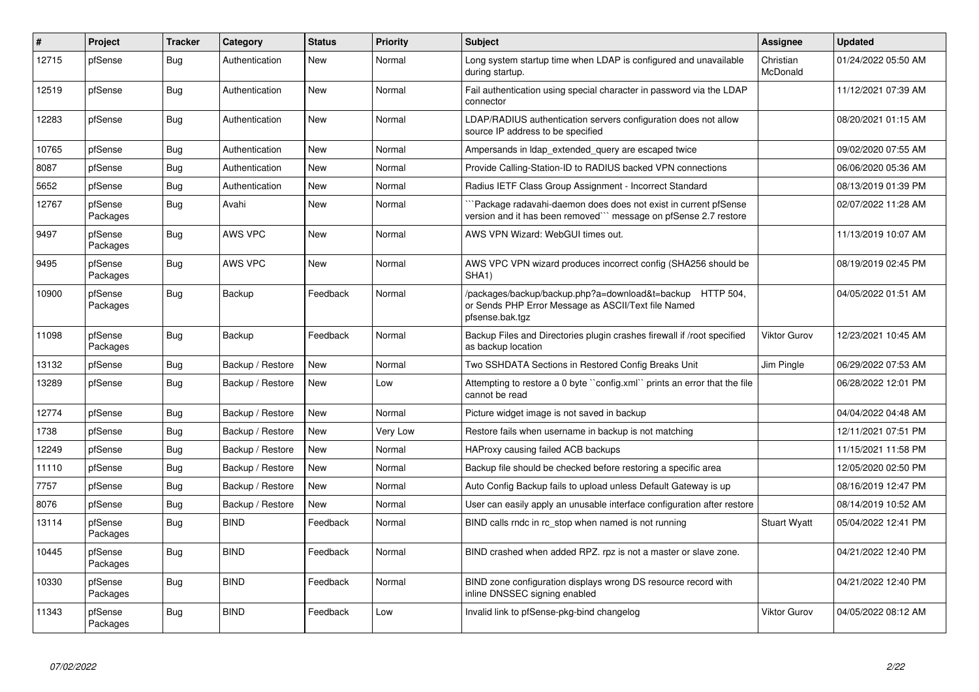| $\sharp$ | Project             | <b>Tracker</b> | Category         | <b>Status</b> | <b>Priority</b> | <b>Subject</b>                                                                                                                       | Assignee              | <b>Updated</b>      |
|----------|---------------------|----------------|------------------|---------------|-----------------|--------------------------------------------------------------------------------------------------------------------------------------|-----------------------|---------------------|
| 12715    | pfSense             | Bug            | Authentication   | New           | Normal          | Long system startup time when LDAP is configured and unavailable<br>during startup.                                                  | Christian<br>McDonald | 01/24/2022 05:50 AM |
| 12519    | pfSense             | Bug            | Authentication   | New           | Normal          | Fail authentication using special character in password via the LDAP<br>connector                                                    |                       | 11/12/2021 07:39 AM |
| 12283    | pfSense             | <b>Bug</b>     | Authentication   | New           | Normal          | LDAP/RADIUS authentication servers configuration does not allow<br>source IP address to be specified                                 |                       | 08/20/2021 01:15 AM |
| 10765    | pfSense             | <b>Bug</b>     | Authentication   | <b>New</b>    | Normal          | Ampersands in Idap_extended_query are escaped twice                                                                                  |                       | 09/02/2020 07:55 AM |
| 8087     | pfSense             | Bug            | Authentication   | New           | Normal          | Provide Calling-Station-ID to RADIUS backed VPN connections                                                                          |                       | 06/06/2020 05:36 AM |
| 5652     | pfSense             | <b>Bug</b>     | Authentication   | New           | Normal          | Radius IETF Class Group Assignment - Incorrect Standard                                                                              |                       | 08/13/2019 01:39 PM |
| 12767    | pfSense<br>Packages | Bug            | Avahi            | New           | Normal          | `Package radavahi-daemon does does not exist in current pfSense<br>version and it has been removed``` message on pfSense 2.7 restore |                       | 02/07/2022 11:28 AM |
| 9497     | pfSense<br>Packages | Bug            | AWS VPC          | New           | Normal          | AWS VPN Wizard: WebGUI times out.                                                                                                    |                       | 11/13/2019 10:07 AM |
| 9495     | pfSense<br>Packages | Bug            | <b>AWS VPC</b>   | New           | Normal          | AWS VPC VPN wizard produces incorrect config (SHA256 should be<br>SHA1)                                                              |                       | 08/19/2019 02:45 PM |
| 10900    | pfSense<br>Packages | Bug            | Backup           | Feedback      | Normal          | /packages/backup/backup.php?a=download&t=backup HTTP 504,<br>or Sends PHP Error Message as ASCII/Text file Named<br>pfsense.bak.tgz  |                       | 04/05/2022 01:51 AM |
| 11098    | pfSense<br>Packages | Bug            | Backup           | Feedback      | Normal          | Backup Files and Directories plugin crashes firewall if /root specified<br>as backup location                                        | Viktor Gurov          | 12/23/2021 10:45 AM |
| 13132    | pfSense             | Bug            | Backup / Restore | <b>New</b>    | Normal          | Two SSHDATA Sections in Restored Config Breaks Unit                                                                                  | Jim Pingle            | 06/29/2022 07:53 AM |
| 13289    | pfSense             | <b>Bug</b>     | Backup / Restore | <b>New</b>    | Low             | Attempting to restore a 0 byte "config.xml" prints an error that the file<br>cannot be read                                          |                       | 06/28/2022 12:01 PM |
| 12774    | pfSense             | Bug            | Backup / Restore | New           | Normal          | Picture widget image is not saved in backup                                                                                          |                       | 04/04/2022 04:48 AM |
| 1738     | pfSense             | Bug            | Backup / Restore | New           | Very Low        | Restore fails when username in backup is not matching                                                                                |                       | 12/11/2021 07:51 PM |
| 12249    | pfSense             | <b>Bug</b>     | Backup / Restore | <b>New</b>    | Normal          | HAProxy causing failed ACB backups                                                                                                   |                       | 11/15/2021 11:58 PM |
| 11110    | pfSense             | Bug            | Backup / Restore | New           | Normal          | Backup file should be checked before restoring a specific area                                                                       |                       | 12/05/2020 02:50 PM |
| 7757     | pfSense             | <b>Bug</b>     | Backup / Restore | New           | Normal          | Auto Config Backup fails to upload unless Default Gateway is up                                                                      |                       | 08/16/2019 12:47 PM |
| 8076     | pfSense             | Bug            | Backup / Restore | New           | Normal          | User can easily apply an unusable interface configuration after restore                                                              |                       | 08/14/2019 10:52 AM |
| 13114    | pfSense<br>Packages | <b>Bug</b>     | <b>BIND</b>      | Feedback      | Normal          | BIND calls rndc in rc stop when named is not running                                                                                 | <b>Stuart Wyatt</b>   | 05/04/2022 12:41 PM |
| 10445    | pfSense<br>Packages | <b>Bug</b>     | <b>BIND</b>      | Feedback      | Normal          | BIND crashed when added RPZ. rpz is not a master or slave zone.                                                                      |                       | 04/21/2022 12:40 PM |
| 10330    | pfSense<br>Packages | <b>Bug</b>     | <b>BIND</b>      | Feedback      | Normal          | BIND zone configuration displays wrong DS resource record with<br>inline DNSSEC signing enabled                                      |                       | 04/21/2022 12:40 PM |
| 11343    | pfSense<br>Packages | <b>Bug</b>     | <b>BIND</b>      | Feedback      | Low             | Invalid link to pfSense-pkg-bind changelog                                                                                           | Viktor Gurov          | 04/05/2022 08:12 AM |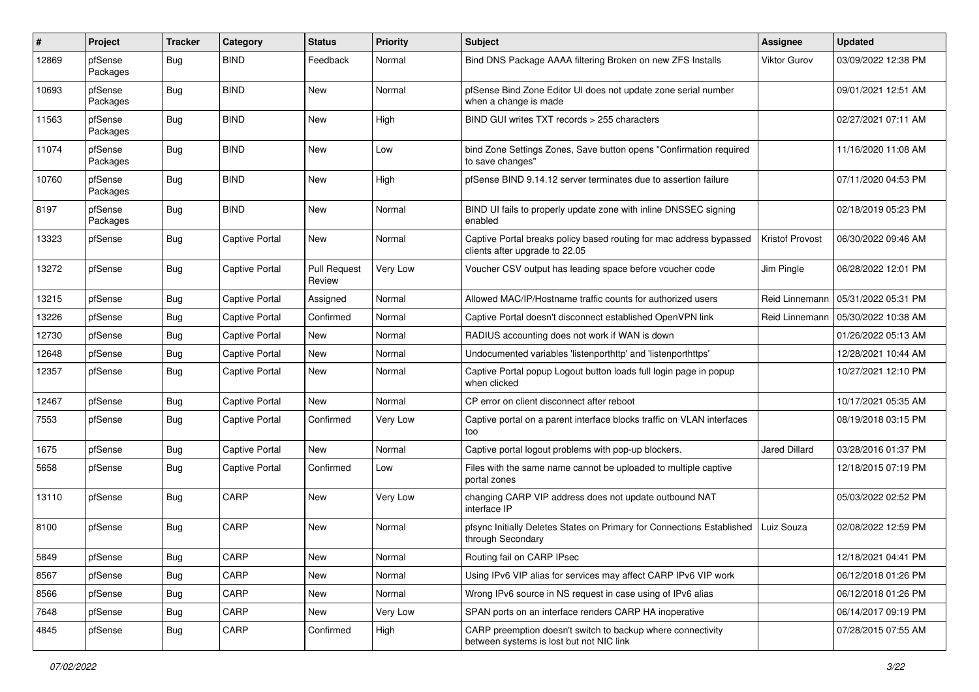| #     | Project             | <b>Tracker</b> | Category              | <b>Status</b>                 | <b>Priority</b> | Subject                                                                                                 | <b>Assignee</b>      | <b>Updated</b>      |
|-------|---------------------|----------------|-----------------------|-------------------------------|-----------------|---------------------------------------------------------------------------------------------------------|----------------------|---------------------|
| 12869 | pfSense<br>Packages | Bug            | <b>BIND</b>           | Feedback                      | Normal          | Bind DNS Package AAAA filtering Broken on new ZFS Installs                                              | Viktor Gurov         | 03/09/2022 12:38 PM |
| 10693 | pfSense<br>Packages | Bug            | <b>BIND</b>           | New                           | Normal          | pfSense Bind Zone Editor UI does not update zone serial number<br>when a change is made                 |                      | 09/01/2021 12:51 AM |
| 11563 | pfSense<br>Packages | Bug            | <b>BIND</b>           | New                           | High            | BIND GUI writes TXT records > 255 characters                                                            |                      | 02/27/2021 07:11 AM |
| 11074 | pfSense<br>Packages | Bug            | <b>BIND</b>           | New                           | Low             | bind Zone Settings Zones, Save button opens "Confirmation required<br>to save changes"                  |                      | 11/16/2020 11:08 AM |
| 10760 | pfSense<br>Packages | Bug            | <b>BIND</b>           | New                           | High            | pfSense BIND 9.14.12 server terminates due to assertion failure                                         |                      | 07/11/2020 04:53 PM |
| 8197  | pfSense<br>Packages | Bug            | <b>BIND</b>           | New                           | Normal          | BIND UI fails to properly update zone with inline DNSSEC signing<br>enabled                             |                      | 02/18/2019 05:23 PM |
| 13323 | pfSense             | Bug            | Captive Portal        | New                           | Normal          | Captive Portal breaks policy based routing for mac address bypassed<br>clients after upgrade to 22.05   | Kristof Provost      | 06/30/2022 09:46 AM |
| 13272 | pfSense             | Bug            | Captive Portal        | <b>Pull Request</b><br>Review | Very Low        | Voucher CSV output has leading space before voucher code                                                | Jim Pingle           | 06/28/2022 12:01 PM |
| 13215 | pfSense             | Bug            | <b>Captive Portal</b> | Assigned                      | Normal          | Allowed MAC/IP/Hostname traffic counts for authorized users                                             | Reid Linnemann       | 05/31/2022 05:31 PM |
| 13226 | pfSense             | Bug            | Captive Portal        | Confirmed                     | Normal          | Captive Portal doesn't disconnect established OpenVPN link                                              | Reid Linnemann       | 05/30/2022 10:38 AM |
| 12730 | pfSense             | Bug            | Captive Portal        | <b>New</b>                    | Normal          | RADIUS accounting does not work if WAN is down                                                          |                      | 01/26/2022 05:13 AM |
| 12648 | pfSense             | Bug            | Captive Portal        | New                           | Normal          | Undocumented variables 'listenporthttp' and 'listenporthttps'                                           |                      | 12/28/2021 10:44 AM |
| 12357 | pfSense             | Bug            | Captive Portal        | <b>New</b>                    | Normal          | Captive Portal popup Logout button loads full login page in popup<br>when clicked                       |                      | 10/27/2021 12:10 PM |
| 12467 | pfSense             | Bug            | Captive Portal        | <b>New</b>                    | Normal          | CP error on client disconnect after reboot                                                              |                      | 10/17/2021 05:35 AM |
| 7553  | pfSense             | Bug            | Captive Portal        | Confirmed                     | Very Low        | Captive portal on a parent interface blocks traffic on VLAN interfaces<br>too                           |                      | 08/19/2018 03:15 PM |
| 1675  | pfSense             | <b>Bug</b>     | Captive Portal        | New                           | Normal          | Captive portal logout problems with pop-up blockers.                                                    | <b>Jared Dillard</b> | 03/28/2016 01:37 PM |
| 5658  | pfSense             | <b>Bug</b>     | Captive Portal        | Confirmed                     | Low             | Files with the same name cannot be uploaded to multiple captive<br>portal zones                         |                      | 12/18/2015 07:19 PM |
| 13110 | pfSense             | Bug            | CARP                  | <b>New</b>                    | Very Low        | changing CARP VIP address does not update outbound NAT<br>interface IP                                  |                      | 05/03/2022 02:52 PM |
| 8100  | pfSense             | Bug            | CARP                  | New                           | Normal          | pfsync Initially Deletes States on Primary for Connections Established<br>through Secondary             | Luiz Souza           | 02/08/2022 12:59 PM |
| 5849  | pfSense             | <b>Bug</b>     | CARP                  | New                           | Normal          | Routing fail on CARP IPsec                                                                              |                      | 12/18/2021 04:41 PM |
| 8567  | pfSense             | Bug            | CARP                  | New                           | Normal          | Using IPv6 VIP alias for services may affect CARP IPv6 VIP work                                         |                      | 06/12/2018 01:26 PM |
| 8566  | pfSense             | <b>Bug</b>     | CARP                  | New                           | Normal          | Wrong IPv6 source in NS request in case using of IPv6 alias                                             |                      | 06/12/2018 01:26 PM |
| 7648  | pfSense             | <b>Bug</b>     | CARP                  | New                           | Very Low        | SPAN ports on an interface renders CARP HA inoperative                                                  |                      | 06/14/2017 09:19 PM |
| 4845  | pfSense             | <b>Bug</b>     | CARP                  | Confirmed                     | High            | CARP preemption doesn't switch to backup where connectivity<br>between systems is lost but not NIC link |                      | 07/28/2015 07:55 AM |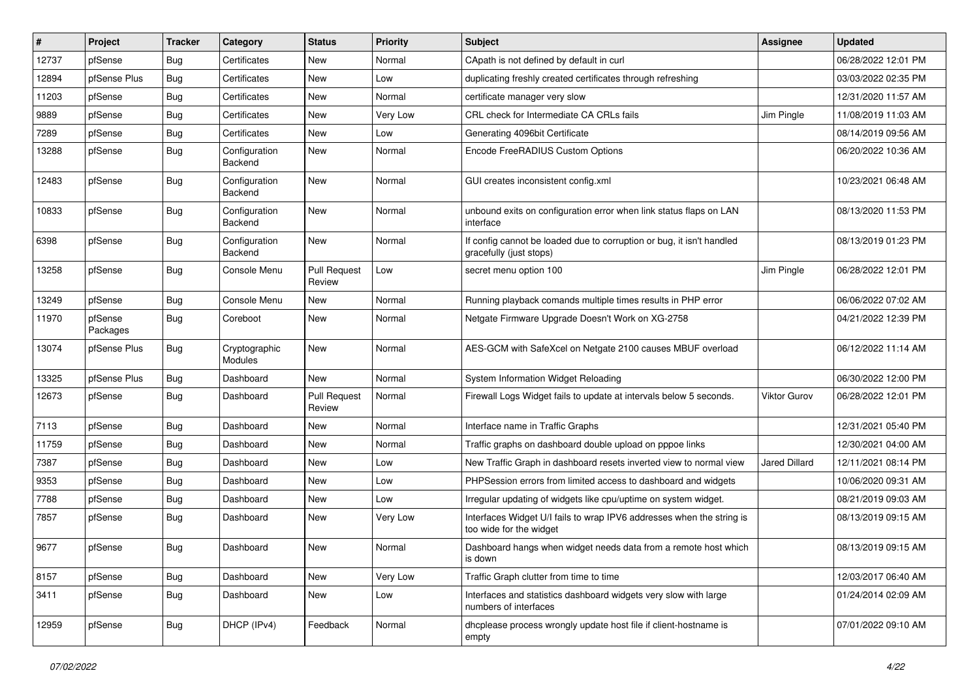| #     | Project             | <b>Tracker</b> | Category                 | <b>Status</b>                 | <b>Priority</b> | Subject                                                                                          | <b>Assignee</b>      | <b>Updated</b>      |
|-------|---------------------|----------------|--------------------------|-------------------------------|-----------------|--------------------------------------------------------------------------------------------------|----------------------|---------------------|
| 12737 | pfSense             | <b>Bug</b>     | Certificates             | New                           | Normal          | CApath is not defined by default in curl                                                         |                      | 06/28/2022 12:01 PM |
| 12894 | pfSense Plus        | <b>Bug</b>     | Certificates             | <b>New</b>                    | Low             | duplicating freshly created certificates through refreshing                                      |                      | 03/03/2022 02:35 PM |
| 11203 | pfSense             | Bug            | Certificates             | New                           | Normal          | certificate manager very slow                                                                    |                      | 12/31/2020 11:57 AM |
| 9889  | pfSense             | <b>Bug</b>     | Certificates             | New                           | Very Low        | CRL check for Intermediate CA CRLs fails                                                         | Jim Pingle           | 11/08/2019 11:03 AM |
| 7289  | pfSense             | <b>Bug</b>     | Certificates             | <b>New</b>                    | Low             | Generating 4096bit Certificate                                                                   |                      | 08/14/2019 09:56 AM |
| 13288 | pfSense             | <b>Bug</b>     | Configuration<br>Backend | New                           | Normal          | Encode FreeRADIUS Custom Options                                                                 |                      | 06/20/2022 10:36 AM |
| 12483 | pfSense             | <b>Bug</b>     | Configuration<br>Backend | <b>New</b>                    | Normal          | GUI creates inconsistent config.xml                                                              |                      | 10/23/2021 06:48 AM |
| 10833 | pfSense             | <b>Bug</b>     | Configuration<br>Backend | <b>New</b>                    | Normal          | unbound exits on configuration error when link status flaps on LAN<br>interface                  |                      | 08/13/2020 11:53 PM |
| 6398  | pfSense             | <b>Bug</b>     | Configuration<br>Backend | New                           | Normal          | If config cannot be loaded due to corruption or bug, it isn't handled<br>gracefully (just stops) |                      | 08/13/2019 01:23 PM |
| 13258 | pfSense             | <b>Bug</b>     | Console Menu             | <b>Pull Request</b><br>Review | Low             | secret menu option 100                                                                           | Jim Pingle           | 06/28/2022 12:01 PM |
| 13249 | pfSense             | <b>Bug</b>     | Console Menu             | New                           | Normal          | Running playback comands multiple times results in PHP error                                     |                      | 06/06/2022 07:02 AM |
| 11970 | pfSense<br>Packages | <b>Bug</b>     | Coreboot                 | New                           | Normal          | Netgate Firmware Upgrade Doesn't Work on XG-2758                                                 |                      | 04/21/2022 12:39 PM |
| 13074 | pfSense Plus        | <b>Bug</b>     | Cryptographic<br>Modules | <b>New</b>                    | Normal          | AES-GCM with SafeXcel on Netgate 2100 causes MBUF overload                                       |                      | 06/12/2022 11:14 AM |
| 13325 | pfSense Plus        | <b>Bug</b>     | Dashboard                | <b>New</b>                    | Normal          | System Information Widget Reloading                                                              |                      | 06/30/2022 12:00 PM |
| 12673 | pfSense             | Bug            | Dashboard                | <b>Pull Request</b><br>Review | Normal          | Firewall Logs Widget fails to update at intervals below 5 seconds.                               | <b>Viktor Gurov</b>  | 06/28/2022 12:01 PM |
| 7113  | pfSense             | <b>Bug</b>     | Dashboard                | <b>New</b>                    | Normal          | Interface name in Traffic Graphs                                                                 |                      | 12/31/2021 05:40 PM |
| 11759 | pfSense             | <b>Bug</b>     | Dashboard                | New                           | Normal          | Traffic graphs on dashboard double upload on pppoe links                                         |                      | 12/30/2021 04:00 AM |
| 7387  | pfSense             | <b>Bug</b>     | Dashboard                | New                           | Low             | New Traffic Graph in dashboard resets inverted view to normal view                               | <b>Jared Dillard</b> | 12/11/2021 08:14 PM |
| 9353  | pfSense             | <b>Bug</b>     | Dashboard                | <b>New</b>                    | Low             | PHPSession errors from limited access to dashboard and widgets                                   |                      | 10/06/2020 09:31 AM |
| 7788  | pfSense             | Bug            | Dashboard                | New                           | Low             | Irregular updating of widgets like cpu/uptime on system widget.                                  |                      | 08/21/2019 09:03 AM |
| 7857  | pfSense             | <b>Bug</b>     | Dashboard                | New                           | Very Low        | Interfaces Widget U/I fails to wrap IPV6 addresses when the string is<br>too wide for the widget |                      | 08/13/2019 09:15 AM |
| 9677  | pfSense             | <b>Bug</b>     | Dashboard                | New                           | Normal          | Dashboard hangs when widget needs data from a remote host which<br>is down                       |                      | 08/13/2019 09:15 AM |
| 8157  | pfSense             | <b>Bug</b>     | Dashboard                | New                           | Very Low        | Traffic Graph clutter from time to time                                                          |                      | 12/03/2017 06:40 AM |
| 3411  | pfSense             | Bug            | Dashboard                | New                           | Low             | Interfaces and statistics dashboard widgets very slow with large<br>numbers of interfaces        |                      | 01/24/2014 02:09 AM |
| 12959 | pfSense             | <b>Bug</b>     | DHCP (IPv4)              | Feedback                      | Normal          | dhcplease process wrongly update host file if client-hostname is<br>empty                        |                      | 07/01/2022 09:10 AM |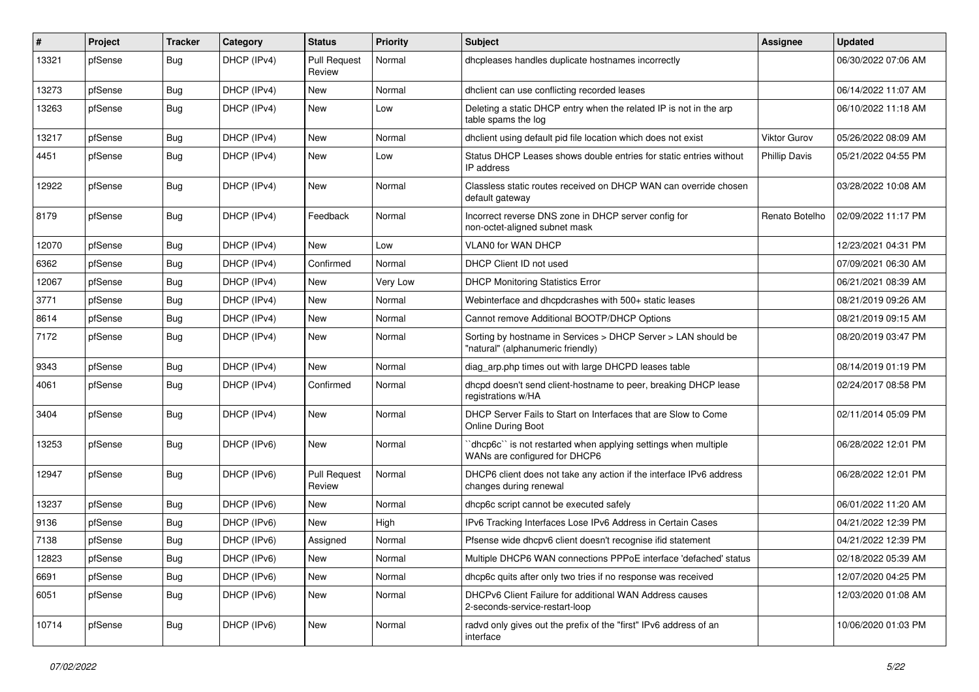| ∦     | Project | <b>Tracker</b> | Category    | <b>Status</b>                 | Priority | <b>Subject</b>                                                                                     | <b>Assignee</b>      | <b>Updated</b>      |
|-------|---------|----------------|-------------|-------------------------------|----------|----------------------------------------------------------------------------------------------------|----------------------|---------------------|
| 13321 | pfSense | <b>Bug</b>     | DHCP (IPv4) | <b>Pull Request</b><br>Review | Normal   | dhcpleases handles duplicate hostnames incorrectly                                                 |                      | 06/30/2022 07:06 AM |
| 13273 | pfSense | <b>Bug</b>     | DHCP (IPv4) | New                           | Normal   | dhclient can use conflicting recorded leases                                                       |                      | 06/14/2022 11:07 AM |
| 13263 | pfSense | <b>Bug</b>     | DHCP (IPv4) | <b>New</b>                    | Low      | Deleting a static DHCP entry when the related IP is not in the arp<br>table spams the log          |                      | 06/10/2022 11:18 AM |
| 13217 | pfSense | <b>Bug</b>     | DHCP (IPv4) | <b>New</b>                    | Normal   | dhclient using default pid file location which does not exist                                      | <b>Viktor Gurov</b>  | 05/26/2022 08:09 AM |
| 4451  | pfSense | <b>Bug</b>     | DHCP (IPv4) | New                           | Low      | Status DHCP Leases shows double entries for static entries without<br>IP address                   | <b>Phillip Davis</b> | 05/21/2022 04:55 PM |
| 12922 | pfSense | <b>Bug</b>     | DHCP (IPv4) | <b>New</b>                    | Normal   | Classless static routes received on DHCP WAN can override chosen<br>default gateway                |                      | 03/28/2022 10:08 AM |
| 8179  | pfSense | <b>Bug</b>     | DHCP (IPv4) | Feedback                      | Normal   | Incorrect reverse DNS zone in DHCP server config for<br>non-octet-aligned subnet mask              | Renato Botelho       | 02/09/2022 11:17 PM |
| 12070 | pfSense | <b>Bug</b>     | DHCP (IPv4) | <b>New</b>                    | Low      | <b>VLANO for WAN DHCP</b>                                                                          |                      | 12/23/2021 04:31 PM |
| 6362  | pfSense | <b>Bug</b>     | DHCP (IPv4) | Confirmed                     | Normal   | DHCP Client ID not used                                                                            |                      | 07/09/2021 06:30 AM |
| 12067 | pfSense | <b>Bug</b>     | DHCP (IPv4) | New                           | Very Low | <b>DHCP Monitoring Statistics Error</b>                                                            |                      | 06/21/2021 08:39 AM |
| 3771  | pfSense | <b>Bug</b>     | DHCP (IPv4) | <b>New</b>                    | Normal   | Webinterface and dhcpdcrashes with 500+ static leases                                              |                      | 08/21/2019 09:26 AM |
| 8614  | pfSense | <b>Bug</b>     | DHCP (IPv4) | New                           | Normal   | Cannot remove Additional BOOTP/DHCP Options                                                        |                      | 08/21/2019 09:15 AM |
| 7172  | pfSense | <b>Bug</b>     | DHCP (IPv4) | <b>New</b>                    | Normal   | Sorting by hostname in Services > DHCP Server > LAN should be<br>"natural" (alphanumeric friendly) |                      | 08/20/2019 03:47 PM |
| 9343  | pfSense | <b>Bug</b>     | DHCP (IPv4) | <b>New</b>                    | Normal   | diag_arp.php times out with large DHCPD leases table                                               |                      | 08/14/2019 01:19 PM |
| 4061  | pfSense | <b>Bug</b>     | DHCP (IPv4) | Confirmed                     | Normal   | dhcpd doesn't send client-hostname to peer, breaking DHCP lease<br>registrations w/HA              |                      | 02/24/2017 08:58 PM |
| 3404  | pfSense | <b>Bug</b>     | DHCP (IPv4) | <b>New</b>                    | Normal   | DHCP Server Fails to Start on Interfaces that are Slow to Come<br><b>Online During Boot</b>        |                      | 02/11/2014 05:09 PM |
| 13253 | pfSense | <b>Bug</b>     | DHCP (IPv6) | <b>New</b>                    | Normal   | 'dhcp6c' is not restarted when applying settings when multiple<br>WANs are configured for DHCP6    |                      | 06/28/2022 12:01 PM |
| 12947 | pfSense | <b>Bug</b>     | DHCP (IPv6) | <b>Pull Request</b><br>Review | Normal   | DHCP6 client does not take any action if the interface IPv6 address<br>changes during renewal      |                      | 06/28/2022 12:01 PM |
| 13237 | pfSense | <b>Bug</b>     | DHCP (IPv6) | <b>New</b>                    | Normal   | dhcp6c script cannot be executed safely                                                            |                      | 06/01/2022 11:20 AM |
| 9136  | pfSense | <b>Bug</b>     | DHCP (IPv6) | New                           | High     | IPv6 Tracking Interfaces Lose IPv6 Address in Certain Cases                                        |                      | 04/21/2022 12:39 PM |
| 7138  | pfSense | <b>Bug</b>     | DHCP (IPv6) | Assigned                      | Normal   | Pfsense wide dhcpv6 client doesn't recognise ifid statement                                        |                      | 04/21/2022 12:39 PM |
| 12823 | pfSense | Bug            | DHCP (IPv6) | New                           | Normal   | Multiple DHCP6 WAN connections PPPoE interface 'defached' status                                   |                      | 02/18/2022 05:39 AM |
| 6691  | pfSense | <b>Bug</b>     | DHCP (IPv6) | New                           | Normal   | dhcp6c quits after only two tries if no response was received                                      |                      | 12/07/2020 04:25 PM |
| 6051  | pfSense | Bug            | DHCP (IPv6) | New                           | Normal   | DHCPv6 Client Failure for additional WAN Address causes<br>2-seconds-service-restart-loop          |                      | 12/03/2020 01:08 AM |
| 10714 | pfSense | <b>Bug</b>     | DHCP (IPv6) | New                           | Normal   | radvd only gives out the prefix of the "first" IPv6 address of an<br>interface                     |                      | 10/06/2020 01:03 PM |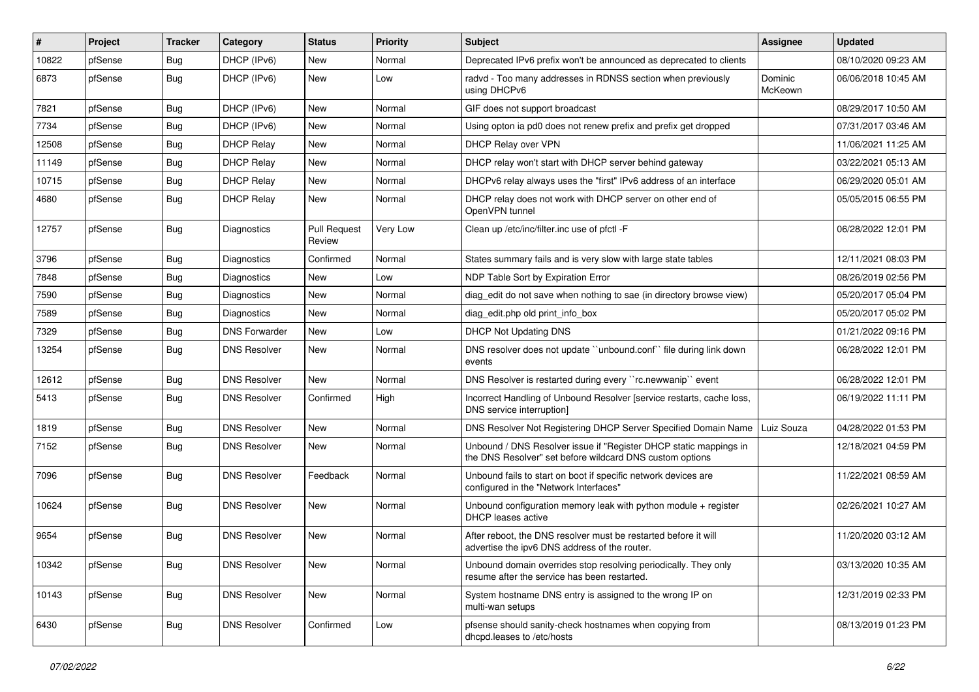| $\vert$ # | Project | <b>Tracker</b> | Category             | <b>Status</b>                 | Priority | <b>Subject</b>                                                                                                                | Assignee           | <b>Updated</b>      |
|-----------|---------|----------------|----------------------|-------------------------------|----------|-------------------------------------------------------------------------------------------------------------------------------|--------------------|---------------------|
| 10822     | pfSense | Bug            | DHCP (IPv6)          | New                           | Normal   | Deprecated IPv6 prefix won't be announced as deprecated to clients                                                            |                    | 08/10/2020 09:23 AM |
| 6873      | pfSense | Bug            | DHCP (IPv6)          | <b>New</b>                    | Low      | radvd - Too many addresses in RDNSS section when previously<br>using DHCPv6                                                   | Dominic<br>McKeown | 06/06/2018 10:45 AM |
| 7821      | pfSense | <b>Bug</b>     | DHCP (IPv6)          | New                           | Normal   | GIF does not support broadcast                                                                                                |                    | 08/29/2017 10:50 AM |
| 7734      | pfSense | Bug            | DHCP (IPv6)          | <b>New</b>                    | Normal   | Using opton ia pd0 does not renew prefix and prefix get dropped                                                               |                    | 07/31/2017 03:46 AM |
| 12508     | pfSense | Bug            | <b>DHCP Relay</b>    | <b>New</b>                    | Normal   | DHCP Relay over VPN                                                                                                           |                    | 11/06/2021 11:25 AM |
| 11149     | pfSense | <b>Bug</b>     | <b>DHCP Relay</b>    | <b>New</b>                    | Normal   | DHCP relay won't start with DHCP server behind gateway                                                                        |                    | 03/22/2021 05:13 AM |
| 10715     | pfSense | <b>Bug</b>     | <b>DHCP Relav</b>    | <b>New</b>                    | Normal   | DHCPv6 relay always uses the "first" IPv6 address of an interface                                                             |                    | 06/29/2020 05:01 AM |
| 4680      | pfSense | Bug            | <b>DHCP Relay</b>    | New                           | Normal   | DHCP relay does not work with DHCP server on other end of<br>OpenVPN tunnel                                                   |                    | 05/05/2015 06:55 PM |
| 12757     | pfSense | <b>Bug</b>     | Diagnostics          | <b>Pull Request</b><br>Review | Very Low | Clean up /etc/inc/filter.inc use of pfctl -F                                                                                  |                    | 06/28/2022 12:01 PM |
| 3796      | pfSense | <b>Bug</b>     | Diagnostics          | Confirmed                     | Normal   | States summary fails and is very slow with large state tables                                                                 |                    | 12/11/2021 08:03 PM |
| 7848      | pfSense | Bug            | Diagnostics          | New                           | Low      | NDP Table Sort by Expiration Error                                                                                            |                    | 08/26/2019 02:56 PM |
| 7590      | pfSense | <b>Bug</b>     | Diagnostics          | New                           | Normal   | diag edit do not save when nothing to sae (in directory browse view)                                                          |                    | 05/20/2017 05:04 PM |
| 7589      | pfSense | <b>Bug</b>     | Diagnostics          | <b>New</b>                    | Normal   | diag edit.php old print info box                                                                                              |                    | 05/20/2017 05:02 PM |
| 7329      | pfSense | <b>Bug</b>     | <b>DNS Forwarder</b> | New                           | Low      | <b>DHCP Not Updating DNS</b>                                                                                                  |                    | 01/21/2022 09:16 PM |
| 13254     | pfSense | <b>Bug</b>     | <b>DNS Resolver</b>  | <b>New</b>                    | Normal   | DNS resolver does not update "unbound.conf" file during link down<br>events                                                   |                    | 06/28/2022 12:01 PM |
| 12612     | pfSense | <b>Bug</b>     | <b>DNS Resolver</b>  | New                           | Normal   | DNS Resolver is restarted during every "rc.newwanip" event                                                                    |                    | 06/28/2022 12:01 PM |
| 5413      | pfSense | <b>Bug</b>     | <b>DNS Resolver</b>  | Confirmed                     | High     | Incorrect Handling of Unbound Resolver [service restarts, cache loss,<br>DNS service interruption]                            |                    | 06/19/2022 11:11 PM |
| 1819      | pfSense | <b>Bug</b>     | <b>DNS Resolver</b>  | New                           | Normal   | DNS Resolver Not Registering DHCP Server Specified Domain Name                                                                | Luiz Souza         | 04/28/2022 01:53 PM |
| 7152      | pfSense | <b>Bug</b>     | <b>DNS Resolver</b>  | <b>New</b>                    | Normal   | Unbound / DNS Resolver issue if "Register DHCP static mappings in<br>the DNS Resolver" set before wildcard DNS custom options |                    | 12/18/2021 04:59 PM |
| 7096      | pfSense | Bug            | <b>DNS Resolver</b>  | Feedback                      | Normal   | Unbound fails to start on boot if specific network devices are<br>configured in the "Network Interfaces"                      |                    | 11/22/2021 08:59 AM |
| 10624     | pfSense | <b>Bug</b>     | <b>DNS Resolver</b>  | <b>New</b>                    | Normal   | Unbound configuration memory leak with python module + register<br><b>DHCP</b> leases active                                  |                    | 02/26/2021 10:27 AM |
| 9654      | pfSense | <b>Bug</b>     | <b>DNS Resolver</b>  | <b>New</b>                    | Normal   | After reboot, the DNS resolver must be restarted before it will<br>advertise the ipv6 DNS address of the router.              |                    | 11/20/2020 03:12 AM |
| 10342     | pfSense | <b>Bug</b>     | <b>DNS Resolver</b>  | New                           | Normal   | Unbound domain overrides stop resolving periodically. They only<br>resume after the service has been restarted.               |                    | 03/13/2020 10:35 AM |
| 10143     | pfSense | <b>Bug</b>     | <b>DNS Resolver</b>  | New                           | Normal   | System hostname DNS entry is assigned to the wrong IP on<br>multi-wan setups                                                  |                    | 12/31/2019 02:33 PM |
| 6430      | pfSense | <b>Bug</b>     | <b>DNS Resolver</b>  | Confirmed                     | Low      | pfsense should sanity-check hostnames when copying from<br>dhcpd.leases to /etc/hosts                                         |                    | 08/13/2019 01:23 PM |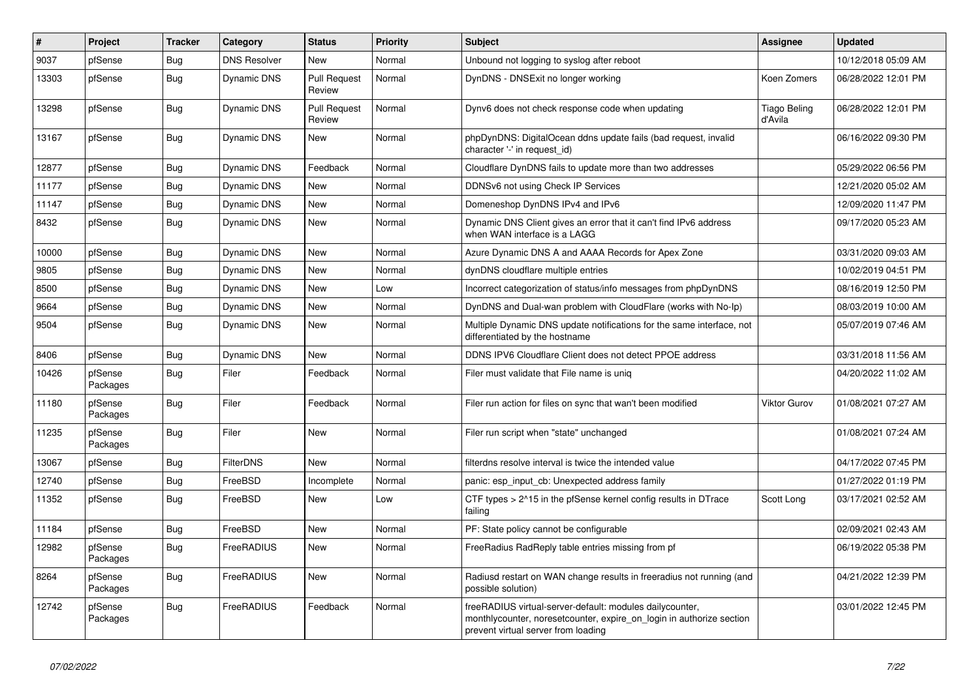| $\vert$ # | Project             | <b>Tracker</b> | Category            | <b>Status</b>                 | Priority | <b>Subject</b>                                                                                                                                                          | Assignee                       | <b>Updated</b>      |
|-----------|---------------------|----------------|---------------------|-------------------------------|----------|-------------------------------------------------------------------------------------------------------------------------------------------------------------------------|--------------------------------|---------------------|
| 9037      | pfSense             | Bug            | <b>DNS Resolver</b> | <b>New</b>                    | Normal   | Unbound not logging to syslog after reboot                                                                                                                              |                                | 10/12/2018 05:09 AM |
| 13303     | pfSense             | <b>Bug</b>     | <b>Dynamic DNS</b>  | <b>Pull Request</b><br>Review | Normal   | DynDNS - DNSExit no longer working                                                                                                                                      | Koen Zomers                    | 06/28/2022 12:01 PM |
| 13298     | pfSense             | Bug            | Dynamic DNS         | <b>Pull Request</b><br>Review | Normal   | Dynv6 does not check response code when updating                                                                                                                        | <b>Tiago Beling</b><br>d'Avila | 06/28/2022 12:01 PM |
| 13167     | pfSense             | <b>Bug</b>     | <b>Dynamic DNS</b>  | New                           | Normal   | phpDynDNS: DigitalOcean ddns update fails (bad request, invalid<br>character '-' in request id)                                                                         |                                | 06/16/2022 09:30 PM |
| 12877     | pfSense             | Bug            | <b>Dynamic DNS</b>  | Feedback                      | Normal   | Cloudflare DynDNS fails to update more than two addresses                                                                                                               |                                | 05/29/2022 06:56 PM |
| 11177     | pfSense             | Bug            | Dynamic DNS         | New                           | Normal   | DDNSv6 not using Check IP Services                                                                                                                                      |                                | 12/21/2020 05:02 AM |
| 11147     | pfSense             | Bug            | <b>Dynamic DNS</b>  | New                           | Normal   | Domeneshop DynDNS IPv4 and IPv6                                                                                                                                         |                                | 12/09/2020 11:47 PM |
| 8432      | pfSense             | Bug            | <b>Dynamic DNS</b>  | <b>New</b>                    | Normal   | Dynamic DNS Client gives an error that it can't find IPv6 address<br>when WAN interface is a LAGG                                                                       |                                | 09/17/2020 05:23 AM |
| 10000     | pfSense             | Bug            | <b>Dynamic DNS</b>  | New                           | Normal   | Azure Dynamic DNS A and AAAA Records for Apex Zone                                                                                                                      |                                | 03/31/2020 09:03 AM |
| 9805      | pfSense             | Bug            | <b>Dynamic DNS</b>  | New                           | Normal   | dynDNS cloudflare multiple entries                                                                                                                                      |                                | 10/02/2019 04:51 PM |
| 8500      | pfSense             | Bug            | Dynamic DNS         | New                           | Low      | Incorrect categorization of status/info messages from phpDynDNS                                                                                                         |                                | 08/16/2019 12:50 PM |
| 9664      | pfSense             | <b>Bug</b>     | Dynamic DNS         | <b>New</b>                    | Normal   | DynDNS and Dual-wan problem with CloudFlare (works with No-Ip)                                                                                                          |                                | 08/03/2019 10:00 AM |
| 9504      | pfSense             | Bug            | <b>Dynamic DNS</b>  | <b>New</b>                    | Normal   | Multiple Dynamic DNS update notifications for the same interface, not<br>differentiated by the hostname                                                                 |                                | 05/07/2019 07:46 AM |
| 8406      | pfSense             | Bug            | Dynamic DNS         | New                           | Normal   | DDNS IPV6 Cloudflare Client does not detect PPOE address                                                                                                                |                                | 03/31/2018 11:56 AM |
| 10426     | pfSense<br>Packages | Bug            | Filer               | Feedback                      | Normal   | Filer must validate that File name is unig                                                                                                                              |                                | 04/20/2022 11:02 AM |
| 11180     | pfSense<br>Packages | <b>Bug</b>     | Filer               | Feedback                      | Normal   | Filer run action for files on sync that wan't been modified                                                                                                             | <b>Viktor Gurov</b>            | 01/08/2021 07:27 AM |
| 11235     | pfSense<br>Packages | Bug            | Filer               | New                           | Normal   | Filer run script when "state" unchanged                                                                                                                                 |                                | 01/08/2021 07:24 AM |
| 13067     | pfSense             | Bug            | <b>FilterDNS</b>    | New                           | Normal   | filterdns resolve interval is twice the intended value                                                                                                                  |                                | 04/17/2022 07:45 PM |
| 12740     | pfSense             | Bug            | FreeBSD             | Incomplete                    | Normal   | panic: esp_input_cb: Unexpected address family                                                                                                                          |                                | 01/27/2022 01:19 PM |
| 11352     | pfSense             | Bug            | FreeBSD             | New                           | Low      | CTF types $> 215$ in the pfSense kernel config results in DTrace<br>failing                                                                                             | Scott Long                     | 03/17/2021 02:52 AM |
| 11184     | pfSense             | <b>Bug</b>     | FreeBSD             | New                           | Normal   | PF: State policy cannot be configurable                                                                                                                                 |                                | 02/09/2021 02:43 AM |
| 12982     | pfSense<br>Packages | Bug            | FreeRADIUS          | New                           | Normal   | FreeRadius RadReply table entries missing from pf                                                                                                                       |                                | 06/19/2022 05:38 PM |
| 8264      | pfSense<br>Packages | <b>Bug</b>     | <b>FreeRADIUS</b>   | <b>New</b>                    | Normal   | Radiusd restart on WAN change results in freeradius not running (and<br>possible solution)                                                                              |                                | 04/21/2022 12:39 PM |
| 12742     | pfSense<br>Packages | Bug            | FreeRADIUS          | Feedback                      | Normal   | freeRADIUS virtual-server-default: modules dailycounter,<br>monthlycounter, noresetcounter, expire_on_login in authorize section<br>prevent virtual server from loading |                                | 03/01/2022 12:45 PM |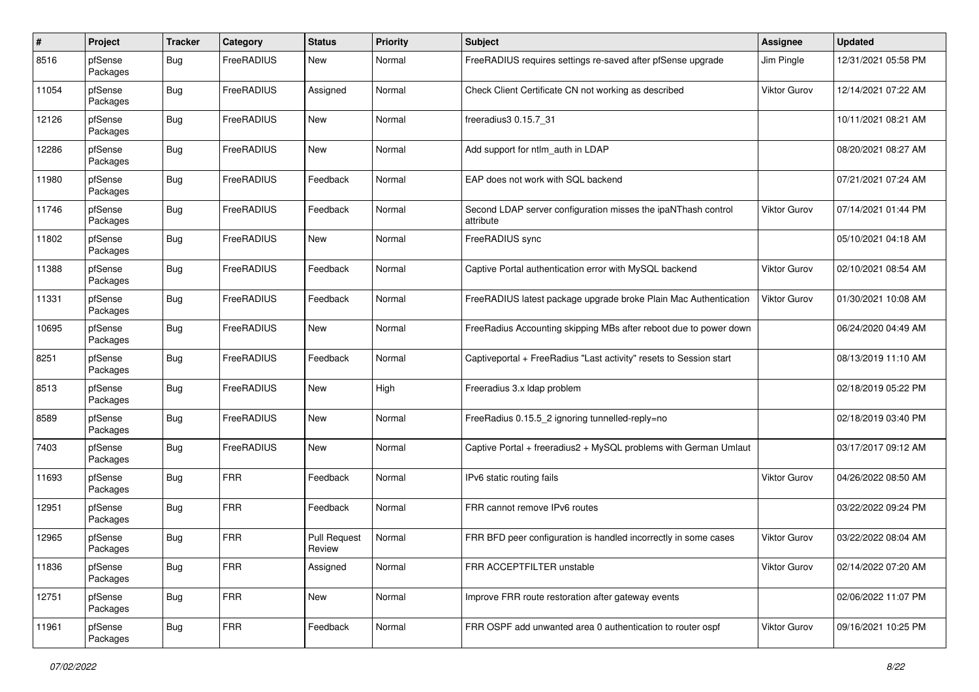| #     | Project             | <b>Tracker</b> | Category   | <b>Status</b>                 | <b>Priority</b> | <b>Subject</b>                                                             | <b>Assignee</b>     | <b>Updated</b>      |
|-------|---------------------|----------------|------------|-------------------------------|-----------------|----------------------------------------------------------------------------|---------------------|---------------------|
| 8516  | pfSense<br>Packages | Bug            | FreeRADIUS | New                           | Normal          | FreeRADIUS requires settings re-saved after pfSense upgrade                | Jim Pingle          | 12/31/2021 05:58 PM |
| 11054 | pfSense<br>Packages | Bug            | FreeRADIUS | Assigned                      | Normal          | Check Client Certificate CN not working as described                       | Viktor Gurov        | 12/14/2021 07:22 AM |
| 12126 | pfSense<br>Packages | <b>Bug</b>     | FreeRADIUS | New                           | Normal          | freeradius3 0.15.7_31                                                      |                     | 10/11/2021 08:21 AM |
| 12286 | pfSense<br>Packages | <b>Bug</b>     | FreeRADIUS | <b>New</b>                    | Normal          | Add support for ntlm auth in LDAP                                          |                     | 08/20/2021 08:27 AM |
| 11980 | pfSense<br>Packages | Bug            | FreeRADIUS | Feedback                      | Normal          | EAP does not work with SQL backend                                         |                     | 07/21/2021 07:24 AM |
| 11746 | pfSense<br>Packages | Bug            | FreeRADIUS | Feedback                      | Normal          | Second LDAP server configuration misses the ipaNThash control<br>attribute | Viktor Gurov        | 07/14/2021 01:44 PM |
| 11802 | pfSense<br>Packages | <b>Bug</b>     | FreeRADIUS | <b>New</b>                    | Normal          | FreeRADIUS sync                                                            |                     | 05/10/2021 04:18 AM |
| 11388 | pfSense<br>Packages | Bug            | FreeRADIUS | Feedback                      | Normal          | Captive Portal authentication error with MySQL backend                     | <b>Viktor Gurov</b> | 02/10/2021 08:54 AM |
| 11331 | pfSense<br>Packages | Bug            | FreeRADIUS | Feedback                      | Normal          | FreeRADIUS latest package upgrade broke Plain Mac Authentication           | <b>Viktor Gurov</b> | 01/30/2021 10:08 AM |
| 10695 | pfSense<br>Packages | Bug            | FreeRADIUS | New                           | Normal          | FreeRadius Accounting skipping MBs after reboot due to power down          |                     | 06/24/2020 04:49 AM |
| 8251  | pfSense<br>Packages | <b>Bug</b>     | FreeRADIUS | Feedback                      | Normal          | Captiveportal + FreeRadius "Last activity" resets to Session start         |                     | 08/13/2019 11:10 AM |
| 8513  | pfSense<br>Packages | Bug            | FreeRADIUS | <b>New</b>                    | High            | Freeradius 3.x Idap problem                                                |                     | 02/18/2019 05:22 PM |
| 8589  | pfSense<br>Packages | Bug            | FreeRADIUS | New                           | Normal          | FreeRadius 0.15.5_2 ignoring tunnelled-reply=no                            |                     | 02/18/2019 03:40 PM |
| 7403  | pfSense<br>Packages | <b>Bug</b>     | FreeRADIUS | <b>New</b>                    | Normal          | Captive Portal + freeradius2 + MySQL problems with German Umlaut           |                     | 03/17/2017 09:12 AM |
| 11693 | pfSense<br>Packages | Bug            | <b>FRR</b> | Feedback                      | Normal          | IPv6 static routing fails                                                  | <b>Viktor Gurov</b> | 04/26/2022 08:50 AM |
| 12951 | pfSense<br>Packages | Bug            | <b>FRR</b> | Feedback                      | Normal          | FRR cannot remove IPv6 routes                                              |                     | 03/22/2022 09:24 PM |
| 12965 | pfSense<br>Packages | <b>Bug</b>     | <b>FRR</b> | <b>Pull Request</b><br>Review | Normal          | FRR BFD peer configuration is handled incorrectly in some cases            | Viktor Gurov        | 03/22/2022 08:04 AM |
| 11836 | pfSense<br>Packages | <b>Bug</b>     | <b>FRR</b> | Assigned                      | Normal          | FRR ACCEPTFILTER unstable                                                  | <b>Viktor Gurov</b> | 02/14/2022 07:20 AM |
| 12751 | pfSense<br>Packages | <b>Bug</b>     | <b>FRR</b> | New                           | Normal          | Improve FRR route restoration after gateway events                         |                     | 02/06/2022 11:07 PM |
| 11961 | pfSense<br>Packages | <b>Bug</b>     | <b>FRR</b> | Feedback                      | Normal          | FRR OSPF add unwanted area 0 authentication to router ospf                 | Viktor Gurov        | 09/16/2021 10:25 PM |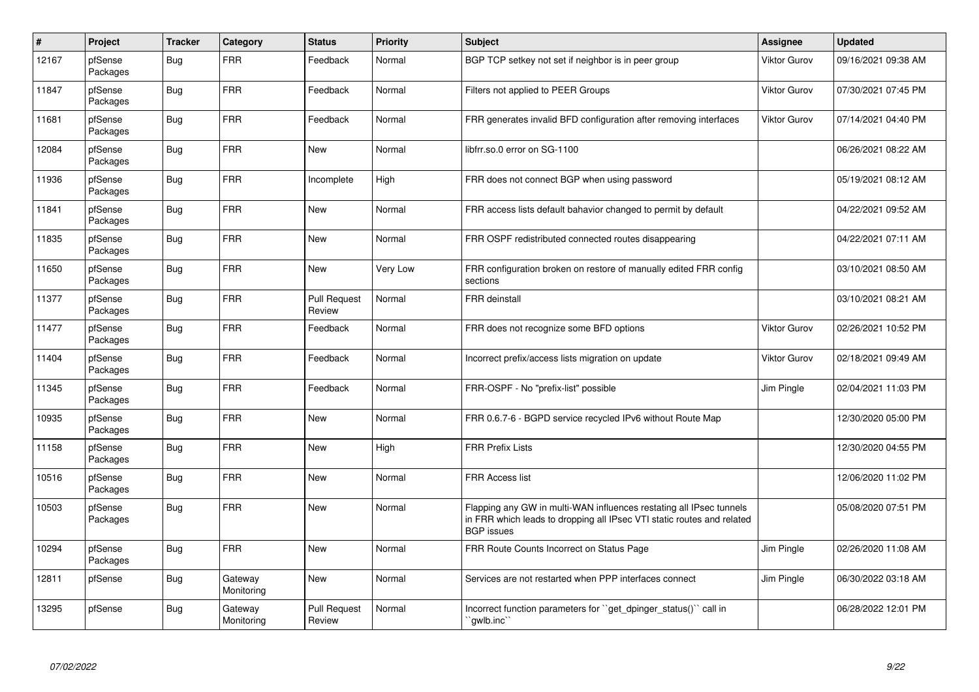| $\vert$ # | Project             | <b>Tracker</b> | Category              | <b>Status</b>                 | <b>Priority</b> | <b>Subject</b>                                                                                                                                                     | Assignee            | <b>Updated</b>      |
|-----------|---------------------|----------------|-----------------------|-------------------------------|-----------------|--------------------------------------------------------------------------------------------------------------------------------------------------------------------|---------------------|---------------------|
| 12167     | pfSense<br>Packages | <b>Bug</b>     | <b>FRR</b>            | Feedback                      | Normal          | BGP TCP setkey not set if neighbor is in peer group                                                                                                                | Viktor Gurov        | 09/16/2021 09:38 AM |
| 11847     | pfSense<br>Packages | Bug            | <b>FRR</b>            | Feedback                      | Normal          | Filters not applied to PEER Groups                                                                                                                                 | <b>Viktor Gurov</b> | 07/30/2021 07:45 PM |
| 11681     | pfSense<br>Packages | <b>Bug</b>     | <b>FRR</b>            | Feedback                      | Normal          | FRR generates invalid BFD configuration after removing interfaces                                                                                                  | Viktor Gurov        | 07/14/2021 04:40 PM |
| 12084     | pfSense<br>Packages | Bug            | <b>FRR</b>            | New                           | Normal          | libfrr.so.0 error on SG-1100                                                                                                                                       |                     | 06/26/2021 08:22 AM |
| 11936     | pfSense<br>Packages | <b>Bug</b>     | <b>FRR</b>            | Incomplete                    | High            | FRR does not connect BGP when using password                                                                                                                       |                     | 05/19/2021 08:12 AM |
| 11841     | pfSense<br>Packages | <b>Bug</b>     | <b>FRR</b>            | New                           | Normal          | FRR access lists default bahavior changed to permit by default                                                                                                     |                     | 04/22/2021 09:52 AM |
| 11835     | pfSense<br>Packages | Bug            | <b>FRR</b>            | New                           | Normal          | FRR OSPF redistributed connected routes disappearing                                                                                                               |                     | 04/22/2021 07:11 AM |
| 11650     | pfSense<br>Packages | Bug            | <b>FRR</b>            | <b>New</b>                    | Very Low        | FRR configuration broken on restore of manually edited FRR config<br>sections                                                                                      |                     | 03/10/2021 08:50 AM |
| 11377     | pfSense<br>Packages | <b>Bug</b>     | <b>FRR</b>            | <b>Pull Request</b><br>Review | Normal          | <b>FRR</b> deinstall                                                                                                                                               |                     | 03/10/2021 08:21 AM |
| 11477     | pfSense<br>Packages | Bug            | <b>FRR</b>            | Feedback                      | Normal          | FRR does not recognize some BFD options                                                                                                                            | Viktor Gurov        | 02/26/2021 10:52 PM |
| 11404     | pfSense<br>Packages | Bug            | <b>FRR</b>            | Feedback                      | Normal          | Incorrect prefix/access lists migration on update                                                                                                                  | <b>Viktor Gurov</b> | 02/18/2021 09:49 AM |
| 11345     | pfSense<br>Packages | Bug            | <b>FRR</b>            | Feedback                      | Normal          | FRR-OSPF - No "prefix-list" possible                                                                                                                               | Jim Pingle          | 02/04/2021 11:03 PM |
| 10935     | pfSense<br>Packages | Bug            | <b>FRR</b>            | <b>New</b>                    | Normal          | FRR 0.6.7-6 - BGPD service recycled IPv6 without Route Map                                                                                                         |                     | 12/30/2020 05:00 PM |
| 11158     | pfSense<br>Packages | <b>Bug</b>     | <b>FRR</b>            | <b>New</b>                    | High            | <b>FRR Prefix Lists</b>                                                                                                                                            |                     | 12/30/2020 04:55 PM |
| 10516     | pfSense<br>Packages | <b>Bug</b>     | <b>FRR</b>            | <b>New</b>                    | Normal          | <b>FRR Access list</b>                                                                                                                                             |                     | 12/06/2020 11:02 PM |
| 10503     | pfSense<br>Packages | Bug            | <b>FRR</b>            | <b>New</b>                    | Normal          | Flapping any GW in multi-WAN influences restating all IPsec tunnels<br>in FRR which leads to dropping all IPsec VTI static routes and related<br><b>BGP</b> issues |                     | 05/08/2020 07:51 PM |
| 10294     | pfSense<br>Packages | Bug            | <b>FRR</b>            | <b>New</b>                    | Normal          | FRR Route Counts Incorrect on Status Page                                                                                                                          | Jim Pingle          | 02/26/2020 11:08 AM |
| 12811     | pfSense             | Bug            | Gateway<br>Monitoring | New                           | Normal          | Services are not restarted when PPP interfaces connect                                                                                                             | Jim Pingle          | 06/30/2022 03:18 AM |
| 13295     | pfSense             | <b>Bug</b>     | Gateway<br>Monitoring | <b>Pull Request</b><br>Review | Normal          | Incorrect function parameters for "get dpinger status()" call in<br>`gwlb.inc`                                                                                     |                     | 06/28/2022 12:01 PM |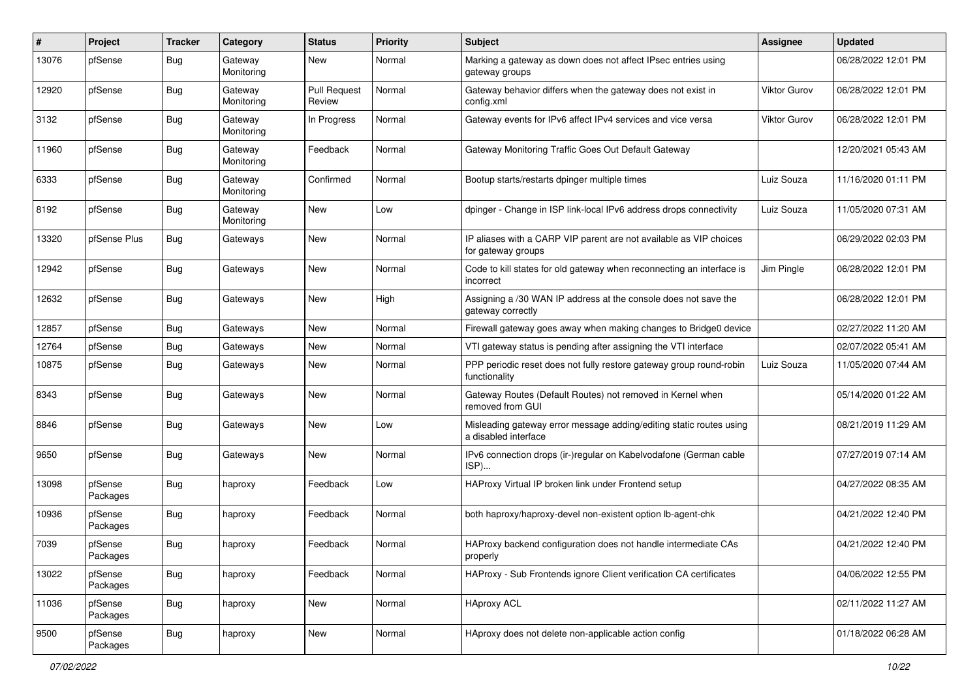| #     | Project             | <b>Tracker</b> | Category              | <b>Status</b>                 | Priority | Subject                                                                                     | <b>Assignee</b> | <b>Updated</b>      |
|-------|---------------------|----------------|-----------------------|-------------------------------|----------|---------------------------------------------------------------------------------------------|-----------------|---------------------|
| 13076 | pfSense             | <b>Bug</b>     | Gateway<br>Monitoring | New                           | Normal   | Marking a gateway as down does not affect IPsec entries using<br>gateway groups             |                 | 06/28/2022 12:01 PM |
| 12920 | pfSense             | <b>Bug</b>     | Gateway<br>Monitoring | <b>Pull Request</b><br>Review | Normal   | Gateway behavior differs when the gateway does not exist in<br>config.xml                   | Viktor Gurov    | 06/28/2022 12:01 PM |
| 3132  | pfSense             | <b>Bug</b>     | Gateway<br>Monitoring | In Progress                   | Normal   | Gateway events for IPv6 affect IPv4 services and vice versa                                 | Viktor Gurov    | 06/28/2022 12:01 PM |
| 11960 | pfSense             | Bug            | Gateway<br>Monitoring | Feedback                      | Normal   | Gateway Monitoring Traffic Goes Out Default Gateway                                         |                 | 12/20/2021 05:43 AM |
| 6333  | pfSense             | Bug            | Gateway<br>Monitoring | Confirmed                     | Normal   | Bootup starts/restarts dpinger multiple times                                               | Luiz Souza      | 11/16/2020 01:11 PM |
| 8192  | pfSense             | <b>Bug</b>     | Gateway<br>Monitoring | New                           | Low      | dpinger - Change in ISP link-local IPv6 address drops connectivity                          | Luiz Souza      | 11/05/2020 07:31 AM |
| 13320 | pfSense Plus        | Bug            | Gateways              | New                           | Normal   | IP aliases with a CARP VIP parent are not available as VIP choices<br>for gateway groups    |                 | 06/29/2022 02:03 PM |
| 12942 | pfSense             | Bug            | Gateways              | New                           | Normal   | Code to kill states for old gateway when reconnecting an interface is<br>incorrect          | Jim Pingle      | 06/28/2022 12:01 PM |
| 12632 | pfSense             | Bug            | Gateways              | New                           | High     | Assigning a /30 WAN IP address at the console does not save the<br>gateway correctly        |                 | 06/28/2022 12:01 PM |
| 12857 | pfSense             | Bug            | Gateways              | <b>New</b>                    | Normal   | Firewall gateway goes away when making changes to Bridge0 device                            |                 | 02/27/2022 11:20 AM |
| 12764 | pfSense             | Bug            | Gateways              | New                           | Normal   | VTI gateway status is pending after assigning the VTI interface                             |                 | 02/07/2022 05:41 AM |
| 10875 | pfSense             | <b>Bug</b>     | Gateways              | New                           | Normal   | PPP periodic reset does not fully restore gateway group round-robin<br>functionality        | Luiz Souza      | 11/05/2020 07:44 AM |
| 8343  | pfSense             | <b>Bug</b>     | Gateways              | New                           | Normal   | Gateway Routes (Default Routes) not removed in Kernel when<br>removed from GUI              |                 | 05/14/2020 01:22 AM |
| 8846  | pfSense             | <b>Bug</b>     | Gateways              | New                           | Low      | Misleading gateway error message adding/editing static routes using<br>a disabled interface |                 | 08/21/2019 11:29 AM |
| 9650  | pfSense             | Bug            | Gateways              | New                           | Normal   | IPv6 connection drops (ir-)regular on Kabelvodafone (German cable<br>ISP)                   |                 | 07/27/2019 07:14 AM |
| 13098 | pfSense<br>Packages | Bug            | haproxy               | Feedback                      | Low      | HAProxy Virtual IP broken link under Frontend setup                                         |                 | 04/27/2022 08:35 AM |
| 10936 | pfSense<br>Packages | Bug            | haproxy               | Feedback                      | Normal   | both haproxy/haproxy-devel non-existent option lb-agent-chk                                 |                 | 04/21/2022 12:40 PM |
| 7039  | pfSense<br>Packages | Bug            | haproxy               | Feedback                      | Normal   | HAProxy backend configuration does not handle intermediate CAs<br>properly                  |                 | 04/21/2022 12:40 PM |
| 13022 | pfSense<br>Packages | Bug            | haproxy               | Feedback                      | Normal   | HAProxy - Sub Frontends ignore Client verification CA certificates                          |                 | 04/06/2022 12:55 PM |
| 11036 | pfSense<br>Packages | <b>Bug</b>     | haproxy               | New                           | Normal   | <b>HAproxy ACL</b>                                                                          |                 | 02/11/2022 11:27 AM |
| 9500  | pfSense<br>Packages | <b>Bug</b>     | haproxy               | New                           | Normal   | HAproxy does not delete non-applicable action config                                        |                 | 01/18/2022 06:28 AM |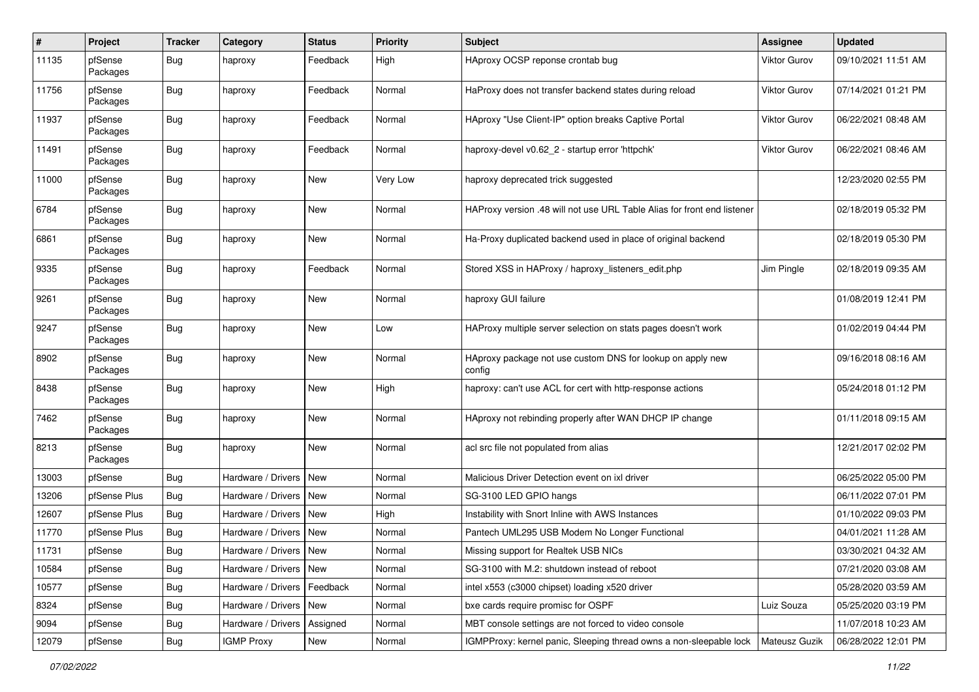| $\#$  | Project             | <b>Tracker</b> | Category                 | <b>Status</b> | <b>Priority</b> | <b>Subject</b>                                                          | Assignee      | <b>Updated</b>      |
|-------|---------------------|----------------|--------------------------|---------------|-----------------|-------------------------------------------------------------------------|---------------|---------------------|
| 11135 | pfSense<br>Packages | Bug            | haproxy                  | Feedback      | High            | HAproxy OCSP reponse crontab bug                                        | Viktor Gurov  | 09/10/2021 11:51 AM |
| 11756 | pfSense<br>Packages | <b>Bug</b>     | haproxy                  | Feedback      | Normal          | HaProxy does not transfer backend states during reload                  | Viktor Gurov  | 07/14/2021 01:21 PM |
| 11937 | pfSense<br>Packages | Bug            | haproxy                  | Feedback      | Normal          | HAproxy "Use Client-IP" option breaks Captive Portal                    | Viktor Gurov  | 06/22/2021 08:48 AM |
| 11491 | pfSense<br>Packages | Bug            | haproxy                  | Feedback      | Normal          | haproxy-devel v0.62_2 - startup error 'httpchk'                         | Viktor Gurov  | 06/22/2021 08:46 AM |
| 11000 | pfSense<br>Packages | <b>Bug</b>     | haproxy                  | <b>New</b>    | Very Low        | haproxy deprecated trick suggested                                      |               | 12/23/2020 02:55 PM |
| 6784  | pfSense<br>Packages | Bug            | haproxy                  | <b>New</b>    | Normal          | HAProxy version .48 will not use URL Table Alias for front end listener |               | 02/18/2019 05:32 PM |
| 6861  | pfSense<br>Packages | <b>Bug</b>     | haproxy                  | <b>New</b>    | Normal          | Ha-Proxy duplicated backend used in place of original backend           |               | 02/18/2019 05:30 PM |
| 9335  | pfSense<br>Packages | Bug            | haproxy                  | Feedback      | Normal          | Stored XSS in HAProxy / haproxy listeners edit.php                      | Jim Pingle    | 02/18/2019 09:35 AM |
| 9261  | pfSense<br>Packages | Bug            | haproxy                  | New           | Normal          | haproxy GUI failure                                                     |               | 01/08/2019 12:41 PM |
| 9247  | pfSense<br>Packages | Bug            | haproxy                  | New           | Low             | HAProxy multiple server selection on stats pages doesn't work           |               | 01/02/2019 04:44 PM |
| 8902  | pfSense<br>Packages | Bug            | haproxy                  | <b>New</b>    | Normal          | HAproxy package not use custom DNS for lookup on apply new<br>config    |               | 09/16/2018 08:16 AM |
| 8438  | pfSense<br>Packages | Bug            | haproxy                  | New           | High            | haproxy: can't use ACL for cert with http-response actions              |               | 05/24/2018 01:12 PM |
| 7462  | pfSense<br>Packages | <b>Bug</b>     | haproxy                  | <b>New</b>    | Normal          | HAproxy not rebinding properly after WAN DHCP IP change                 |               | 01/11/2018 09:15 AM |
| 8213  | pfSense<br>Packages | Bug            | haproxy                  | <b>New</b>    | Normal          | acl src file not populated from alias                                   |               | 12/21/2017 02:02 PM |
| 13003 | pfSense             | <b>Bug</b>     | Hardware / Drivers       | <b>New</b>    | Normal          | Malicious Driver Detection event on ixl driver                          |               | 06/25/2022 05:00 PM |
| 13206 | pfSense Plus        | Bug            | Hardware / Drivers       | <b>New</b>    | Normal          | SG-3100 LED GPIO hangs                                                  |               | 06/11/2022 07:01 PM |
| 12607 | pfSense Plus        | <b>Bug</b>     | Hardware / Drivers       | New           | High            | Instability with Snort Inline with AWS Instances                        |               | 01/10/2022 09:03 PM |
| 11770 | pfSense Plus        | Bug            | Hardware / Drivers       | <b>New</b>    | Normal          | Pantech UML295 USB Modem No Longer Functional                           |               | 04/01/2021 11:28 AM |
| 11731 | pfSense             | Bug            | Hardware / Drivers   New |               | Normal          | Missing support for Realtek USB NICs                                    |               | 03/30/2021 04:32 AM |
| 10584 | pfSense             | Bug            | Hardware / Drivers   New |               | Normal          | SG-3100 with M.2: shutdown instead of reboot                            |               | 07/21/2020 03:08 AM |
| 10577 | pfSense             | Bug            | Hardware / Drivers       | Feedback      | Normal          | intel x553 (c3000 chipset) loading x520 driver                          |               | 05/28/2020 03:59 AM |
| 8324  | pfSense             | <b>Bug</b>     | Hardware / Drivers       | New           | Normal          | bxe cards require promisc for OSPF                                      | Luiz Souza    | 05/25/2020 03:19 PM |
| 9094  | pfSense             | <b>Bug</b>     | Hardware / Drivers       | Assigned      | Normal          | MBT console settings are not forced to video console                    |               | 11/07/2018 10:23 AM |
| 12079 | pfSense             | <b>Bug</b>     | <b>IGMP Proxy</b>        | New           | Normal          | IGMPProxy: kernel panic, Sleeping thread owns a non-sleepable lock      | Mateusz Guzik | 06/28/2022 12:01 PM |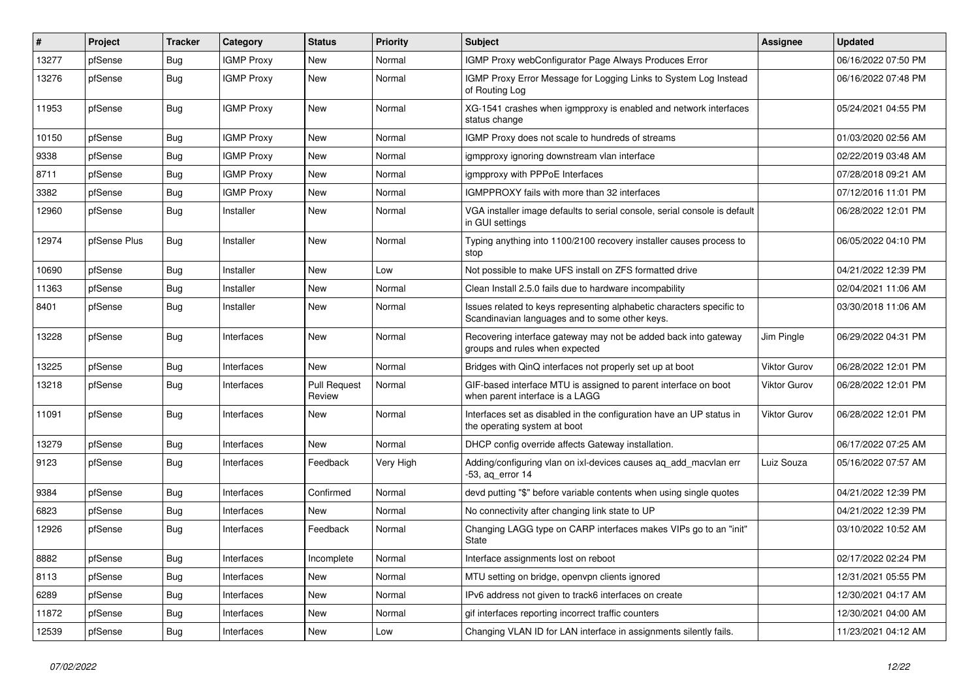| $\pmb{\#}$ | Project      | <b>Tracker</b> | Category          | <b>Status</b>                 | <b>Priority</b> | <b>Subject</b>                                                                                                          | Assignee            | <b>Updated</b>      |
|------------|--------------|----------------|-------------------|-------------------------------|-----------------|-------------------------------------------------------------------------------------------------------------------------|---------------------|---------------------|
| 13277      | pfSense      | Bug            | <b>IGMP Proxy</b> | New                           | Normal          | IGMP Proxy webConfigurator Page Always Produces Error                                                                   |                     | 06/16/2022 07:50 PM |
| 13276      | pfSense      | Bug            | <b>IGMP Proxy</b> | <b>New</b>                    | Normal          | IGMP Proxy Error Message for Logging Links to System Log Instead<br>of Routing Log                                      |                     | 06/16/2022 07:48 PM |
| 11953      | pfSense      | <b>Bug</b>     | <b>IGMP Proxy</b> | <b>New</b>                    | Normal          | XG-1541 crashes when igmpproxy is enabled and network interfaces<br>status change                                       |                     | 05/24/2021 04:55 PM |
| 10150      | pfSense      | Bug            | <b>IGMP Proxy</b> | <b>New</b>                    | Normal          | IGMP Proxy does not scale to hundreds of streams                                                                        |                     | 01/03/2020 02:56 AM |
| 9338       | pfSense      | Bug            | <b>IGMP Proxy</b> | New                           | Normal          | igmpproxy ignoring downstream vlan interface                                                                            |                     | 02/22/2019 03:48 AM |
| 8711       | pfSense      | Bug            | <b>IGMP Proxy</b> | New                           | Normal          | igmpproxy with PPPoE Interfaces                                                                                         |                     | 07/28/2018 09:21 AM |
| 3382       | pfSense      | <b>Bug</b>     | <b>IGMP Proxy</b> | New                           | Normal          | IGMPPROXY fails with more than 32 interfaces                                                                            |                     | 07/12/2016 11:01 PM |
| 12960      | pfSense      | Bug            | Installer         | New                           | Normal          | VGA installer image defaults to serial console, serial console is default<br>in GUI settings                            |                     | 06/28/2022 12:01 PM |
| 12974      | pfSense Plus | Bug            | Installer         | New                           | Normal          | Typing anything into 1100/2100 recovery installer causes process to<br>stop                                             |                     | 06/05/2022 04:10 PM |
| 10690      | pfSense      | Bug            | Installer         | <b>New</b>                    | Low             | Not possible to make UFS install on ZFS formatted drive                                                                 |                     | 04/21/2022 12:39 PM |
| 11363      | pfSense      | Bug            | Installer         | New                           | Normal          | Clean Install 2.5.0 fails due to hardware incompability                                                                 |                     | 02/04/2021 11:06 AM |
| 8401       | pfSense      | <b>Bug</b>     | Installer         | <b>New</b>                    | Normal          | Issues related to keys representing alphabetic characters specific to<br>Scandinavian languages and to some other keys. |                     | 03/30/2018 11:06 AM |
| 13228      | pfSense      | Bug            | Interfaces        | New                           | Normal          | Recovering interface gateway may not be added back into gateway<br>groups and rules when expected                       | Jim Pingle          | 06/29/2022 04:31 PM |
| 13225      | pfSense      | Bug            | Interfaces        | New                           | Normal          | Bridges with QinQ interfaces not properly set up at boot                                                                | Viktor Gurov        | 06/28/2022 12:01 PM |
| 13218      | pfSense      | Bug            | Interfaces        | <b>Pull Request</b><br>Review | Normal          | GIF-based interface MTU is assigned to parent interface on boot<br>when parent interface is a LAGG                      | <b>Viktor Gurov</b> | 06/28/2022 12:01 PM |
| 11091      | pfSense      | Bug            | Interfaces        | New                           | Normal          | Interfaces set as disabled in the configuration have an UP status in<br>the operating system at boot                    | Viktor Gurov        | 06/28/2022 12:01 PM |
| 13279      | pfSense      | Bug            | Interfaces        | <b>New</b>                    | Normal          | DHCP config override affects Gateway installation.                                                                      |                     | 06/17/2022 07:25 AM |
| 9123       | pfSense      | Bug            | Interfaces        | Feedback                      | Very High       | Adding/configuring vlan on ixl-devices causes ag add macvlan err<br>$-53$ , aq error 14                                 | Luiz Souza          | 05/16/2022 07:57 AM |
| 9384       | pfSense      | Bug            | Interfaces        | Confirmed                     | Normal          | devd putting "\$" before variable contents when using single quotes                                                     |                     | 04/21/2022 12:39 PM |
| 6823       | pfSense      | Bug            | Interfaces        | New                           | Normal          | No connectivity after changing link state to UP                                                                         |                     | 04/21/2022 12:39 PM |
| 12926      | pfSense      | Bug            | Interfaces        | Feedback                      | Normal          | Changing LAGG type on CARP interfaces makes VIPs go to an "init"<br><b>State</b>                                        |                     | 03/10/2022 10:52 AM |
| 8882       | pfSense      | Bug            | Interfaces        | Incomplete                    | Normal          | Interface assignments lost on reboot                                                                                    |                     | 02/17/2022 02:24 PM |
| 8113       | pfSense      | Bug            | Interfaces        | New                           | Normal          | MTU setting on bridge, openvpn clients ignored                                                                          |                     | 12/31/2021 05:55 PM |
| 6289       | pfSense      | Bug            | Interfaces        | New                           | Normal          | IPv6 address not given to track6 interfaces on create                                                                   |                     | 12/30/2021 04:17 AM |
| 11872      | pfSense      | Bug            | Interfaces        | New                           | Normal          | gif interfaces reporting incorrect traffic counters                                                                     |                     | 12/30/2021 04:00 AM |
| 12539      | pfSense      | Bug            | Interfaces        | New                           | Low             | Changing VLAN ID for LAN interface in assignments silently fails.                                                       |                     | 11/23/2021 04:12 AM |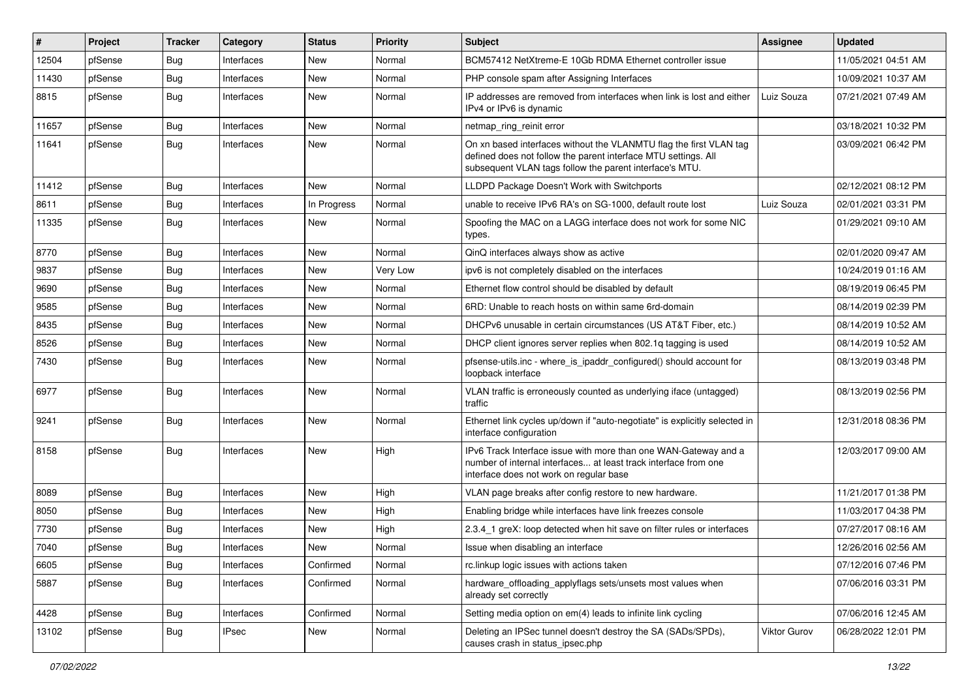| #     | Project | <b>Tracker</b> | Category     | <b>Status</b> | Priority | <b>Subject</b>                                                                                                                                                                                  | <b>Assignee</b> | <b>Updated</b>      |
|-------|---------|----------------|--------------|---------------|----------|-------------------------------------------------------------------------------------------------------------------------------------------------------------------------------------------------|-----------------|---------------------|
| 12504 | pfSense | Bug            | Interfaces   | New           | Normal   | BCM57412 NetXtreme-E 10Gb RDMA Ethernet controller issue                                                                                                                                        |                 | 11/05/2021 04:51 AM |
| 11430 | pfSense | Bug            | Interfaces   | <b>New</b>    | Normal   | PHP console spam after Assigning Interfaces                                                                                                                                                     |                 | 10/09/2021 10:37 AM |
| 8815  | pfSense | <b>Bug</b>     | Interfaces   | New           | Normal   | IP addresses are removed from interfaces when link is lost and either<br>IPv4 or IPv6 is dynamic                                                                                                | Luiz Souza      | 07/21/2021 07:49 AM |
| 11657 | pfSense | Bug            | Interfaces   | New           | Normal   | netmap_ring_reinit error                                                                                                                                                                        |                 | 03/18/2021 10:32 PM |
| 11641 | pfSense | <b>Bug</b>     | Interfaces   | New           | Normal   | On xn based interfaces without the VLANMTU flag the first VLAN tag<br>defined does not follow the parent interface MTU settings. All<br>subsequent VLAN tags follow the parent interface's MTU. |                 | 03/09/2021 06:42 PM |
| 11412 | pfSense | Bug            | Interfaces   | New           | Normal   | LLDPD Package Doesn't Work with Switchports                                                                                                                                                     |                 | 02/12/2021 08:12 PM |
| 8611  | pfSense | Bug            | Interfaces   | In Progress   | Normal   | unable to receive IPv6 RA's on SG-1000, default route lost                                                                                                                                      | Luiz Souza      | 02/01/2021 03:31 PM |
| 11335 | pfSense | Bug            | Interfaces   | New           | Normal   | Spoofing the MAC on a LAGG interface does not work for some NIC<br>types.                                                                                                                       |                 | 01/29/2021 09:10 AM |
| 8770  | pfSense | Bug            | Interfaces   | <b>New</b>    | Normal   | QinQ interfaces always show as active                                                                                                                                                           |                 | 02/01/2020 09:47 AM |
| 9837  | pfSense | Bug            | Interfaces   | New           | Very Low | ipv6 is not completely disabled on the interfaces                                                                                                                                               |                 | 10/24/2019 01:16 AM |
| 9690  | pfSense | Bug            | Interfaces   | New           | Normal   | Ethernet flow control should be disabled by default                                                                                                                                             |                 | 08/19/2019 06:45 PM |
| 9585  | pfSense | Bug            | Interfaces   | New           | Normal   | 6RD: Unable to reach hosts on within same 6rd-domain                                                                                                                                            |                 | 08/14/2019 02:39 PM |
| 8435  | pfSense | <b>Bug</b>     | Interfaces   | New           | Normal   | DHCPv6 unusable in certain circumstances (US AT&T Fiber, etc.)                                                                                                                                  |                 | 08/14/2019 10:52 AM |
| 8526  | pfSense | Bug            | Interfaces   | <b>New</b>    | Normal   | DHCP client ignores server replies when 802.1q tagging is used                                                                                                                                  |                 | 08/14/2019 10:52 AM |
| 7430  | pfSense | Bug            | Interfaces   | New           | Normal   | pfsense-utils.inc - where_is_ipaddr_configured() should account for<br>loopback interface                                                                                                       |                 | 08/13/2019 03:48 PM |
| 6977  | pfSense | <b>Bug</b>     | Interfaces   | <b>New</b>    | Normal   | VLAN traffic is erroneously counted as underlying iface (untagged)<br>traffic                                                                                                                   |                 | 08/13/2019 02:56 PM |
| 9241  | pfSense | <b>Bug</b>     | Interfaces   | New           | Normal   | Ethernet link cycles up/down if "auto-negotiate" is explicitly selected in<br>interface configuration                                                                                           |                 | 12/31/2018 08:36 PM |
| 8158  | pfSense | Bug            | Interfaces   | New           | High     | IPv6 Track Interface issue with more than one WAN-Gateway and a<br>number of internal interfaces at least track interface from one<br>interface does not work on regular base                   |                 | 12/03/2017 09:00 AM |
| 8089  | pfSense | <b>Bug</b>     | Interfaces   | New           | High     | VLAN page breaks after config restore to new hardware.                                                                                                                                          |                 | 11/21/2017 01:38 PM |
| 8050  | pfSense | Bug            | Interfaces   | New           | High     | Enabling bridge while interfaces have link freezes console                                                                                                                                      |                 | 11/03/2017 04:38 PM |
| 7730  | pfSense | <b>Bug</b>     | Interfaces   | New           | High     | 2.3.4_1 greX: loop detected when hit save on filter rules or interfaces                                                                                                                         |                 | 07/27/2017 08:16 AM |
| 7040  | pfSense | Bug            | Interfaces   | New           | Normal   | Issue when disabling an interface                                                                                                                                                               |                 | 12/26/2016 02:56 AM |
| 6605  | pfSense | <b>Bug</b>     | Interfaces   | Confirmed     | Normal   | rc.linkup logic issues with actions taken                                                                                                                                                       |                 | 07/12/2016 07:46 PM |
| 5887  | pfSense | <b>Bug</b>     | Interfaces   | Confirmed     | Normal   | hardware offloading applyflags sets/unsets most values when<br>already set correctly                                                                                                            |                 | 07/06/2016 03:31 PM |
| 4428  | pfSense | <b>Bug</b>     | Interfaces   | Confirmed     | Normal   | Setting media option on em(4) leads to infinite link cycling                                                                                                                                    |                 | 07/06/2016 12:45 AM |
| 13102 | pfSense | <b>Bug</b>     | <b>IPsec</b> | New           | Normal   | Deleting an IPSec tunnel doesn't destroy the SA (SADs/SPDs),<br>causes crash in status_ipsec.php                                                                                                | Viktor Gurov    | 06/28/2022 12:01 PM |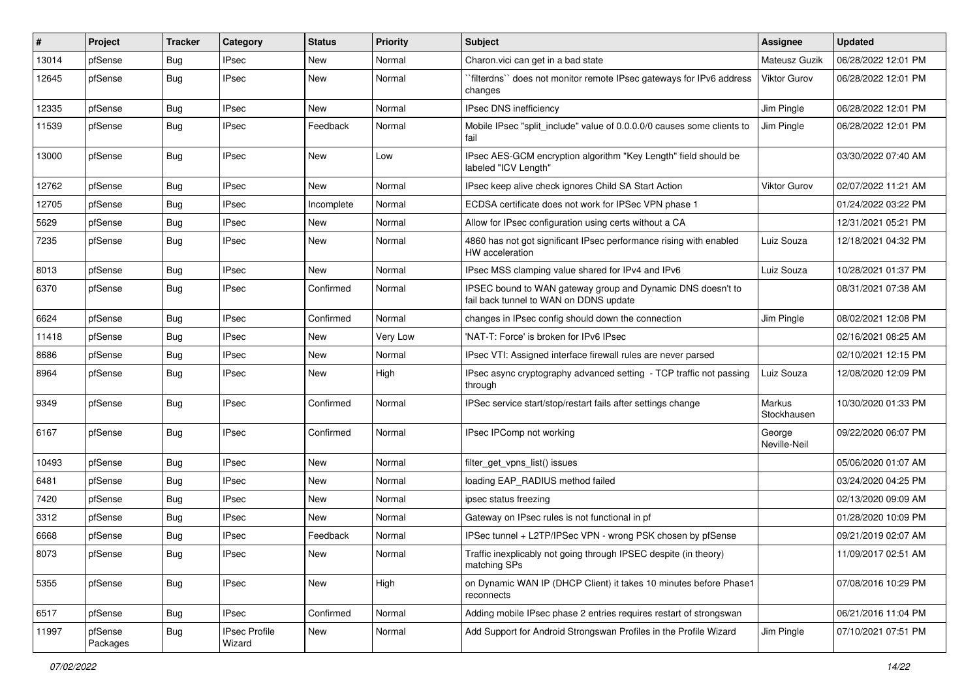| ∦     | Project             | <b>Tracker</b> | Category                       | <b>Status</b> | <b>Priority</b> | <b>Subject</b>                                                                                        | <b>Assignee</b>        | <b>Updated</b>      |
|-------|---------------------|----------------|--------------------------------|---------------|-----------------|-------------------------------------------------------------------------------------------------------|------------------------|---------------------|
| 13014 | pfSense             | Bug            | <b>IPsec</b>                   | New           | Normal          | Charon.vici can get in a bad state                                                                    | Mateusz Guzik          | 06/28/2022 12:01 PM |
| 12645 | pfSense             | Bug            | <b>IPsec</b>                   | New           | Normal          | `filterdns`` does not monitor remote IPsec gateways for IPv6 address<br>changes                       | Viktor Gurov           | 06/28/2022 12:01 PM |
| 12335 | pfSense             | <b>Bug</b>     | <b>IPsec</b>                   | New           | Normal          | <b>IPsec DNS inefficiency</b>                                                                         | Jim Pingle             | 06/28/2022 12:01 PM |
| 11539 | pfSense             | <b>Bug</b>     | <b>IPsec</b>                   | Feedback      | Normal          | Mobile IPsec "split include" value of 0.0.0.0/0 causes some clients to<br>fail                        | Jim Pingle             | 06/28/2022 12:01 PM |
| 13000 | pfSense             | Bug            | <b>IPsec</b>                   | New           | Low             | IPsec AES-GCM encryption algorithm "Key Length" field should be<br>labeled "ICV Length"               |                        | 03/30/2022 07:40 AM |
| 12762 | pfSense             | <b>Bug</b>     | <b>IPsec</b>                   | New           | Normal          | IPsec keep alive check ignores Child SA Start Action                                                  | <b>Viktor Gurov</b>    | 02/07/2022 11:21 AM |
| 12705 | pfSense             | <b>Bug</b>     | <b>IPsec</b>                   | Incomplete    | Normal          | ECDSA certificate does not work for IPSec VPN phase 1                                                 |                        | 01/24/2022 03:22 PM |
| 5629  | pfSense             | Bug            | <b>IPsec</b>                   | New           | Normal          | Allow for IPsec configuration using certs without a CA                                                |                        | 12/31/2021 05:21 PM |
| 7235  | pfSense             | <b>Bug</b>     | <b>IPsec</b>                   | New           | Normal          | 4860 has not got significant IPsec performance rising with enabled<br>HW acceleration                 | Luiz Souza             | 12/18/2021 04:32 PM |
| 8013  | pfSense             | <b>Bug</b>     | <b>IPsec</b>                   | New           | Normal          | IPsec MSS clamping value shared for IPv4 and IPv6                                                     | Luiz Souza             | 10/28/2021 01:37 PM |
| 6370  | pfSense             | Bug            | <b>IPsec</b>                   | Confirmed     | Normal          | IPSEC bound to WAN gateway group and Dynamic DNS doesn't to<br>fail back tunnel to WAN on DDNS update |                        | 08/31/2021 07:38 AM |
| 6624  | pfSense             | <b>Bug</b>     | <b>IPsec</b>                   | Confirmed     | Normal          | changes in IPsec config should down the connection                                                    | Jim Pingle             | 08/02/2021 12:08 PM |
| 11418 | pfSense             | <b>Bug</b>     | <b>IPsec</b>                   | New           | Very Low        | 'NAT-T: Force' is broken for IPv6 IPsec                                                               |                        | 02/16/2021 08:25 AM |
| 8686  | pfSense             | Bug            | <b>IPsec</b>                   | New           | Normal          | IPsec VTI: Assigned interface firewall rules are never parsed                                         |                        | 02/10/2021 12:15 PM |
| 8964  | pfSense             | Bug            | <b>IPsec</b>                   | New           | High            | IPsec async cryptography advanced setting - TCP traffic not passing<br>through                        | Luiz Souza             | 12/08/2020 12:09 PM |
| 9349  | pfSense             | <b>Bug</b>     | <b>IPsec</b>                   | Confirmed     | Normal          | IPSec service start/stop/restart fails after settings change                                          | Markus<br>Stockhausen  | 10/30/2020 01:33 PM |
| 6167  | pfSense             | <b>Bug</b>     | <b>IPsec</b>                   | Confirmed     | Normal          | IPsec IPComp not working                                                                              | George<br>Neville-Neil | 09/22/2020 06:07 PM |
| 10493 | pfSense             | <b>Bug</b>     | <b>IPsec</b>                   | New           | Normal          | filter_get_vpns_list() issues                                                                         |                        | 05/06/2020 01:07 AM |
| 6481  | pfSense             | Bug            | <b>IPsec</b>                   | New           | Normal          | loading EAP RADIUS method failed                                                                      |                        | 03/24/2020 04:25 PM |
| 7420  | pfSense             | <b>Bug</b>     | <b>IPsec</b>                   | New           | Normal          | ipsec status freezing                                                                                 |                        | 02/13/2020 09:09 AM |
| 3312  | pfSense             | Bug            | <b>IPsec</b>                   | New           | Normal          | Gateway on IPsec rules is not functional in pf                                                        |                        | 01/28/2020 10:09 PM |
| 6668  | pfSense             | <b>Bug</b>     | <b>IPsec</b>                   | Feedback      | Normal          | IPSec tunnel + L2TP/IPSec VPN - wrong PSK chosen by pfSense                                           |                        | 09/21/2019 02:07 AM |
| 8073  | pfSense             | Bug            | <b>IPsec</b>                   | New           | Normal          | Traffic inexplicably not going through IPSEC despite (in theory)<br>matching SPs                      |                        | 11/09/2017 02:51 AM |
| 5355  | pfSense             | <b>Bug</b>     | <b>IPsec</b>                   | New           | High            | on Dynamic WAN IP (DHCP Client) it takes 10 minutes before Phase1<br>reconnects                       |                        | 07/08/2016 10:29 PM |
| 6517  | pfSense             | Bug            | <b>IPsec</b>                   | Confirmed     | Normal          | Adding mobile IPsec phase 2 entries requires restart of strongswan                                    |                        | 06/21/2016 11:04 PM |
| 11997 | pfSense<br>Packages | <b>Bug</b>     | <b>IPsec Profile</b><br>Wizard | New           | Normal          | Add Support for Android Strongswan Profiles in the Profile Wizard                                     | Jim Pingle             | 07/10/2021 07:51 PM |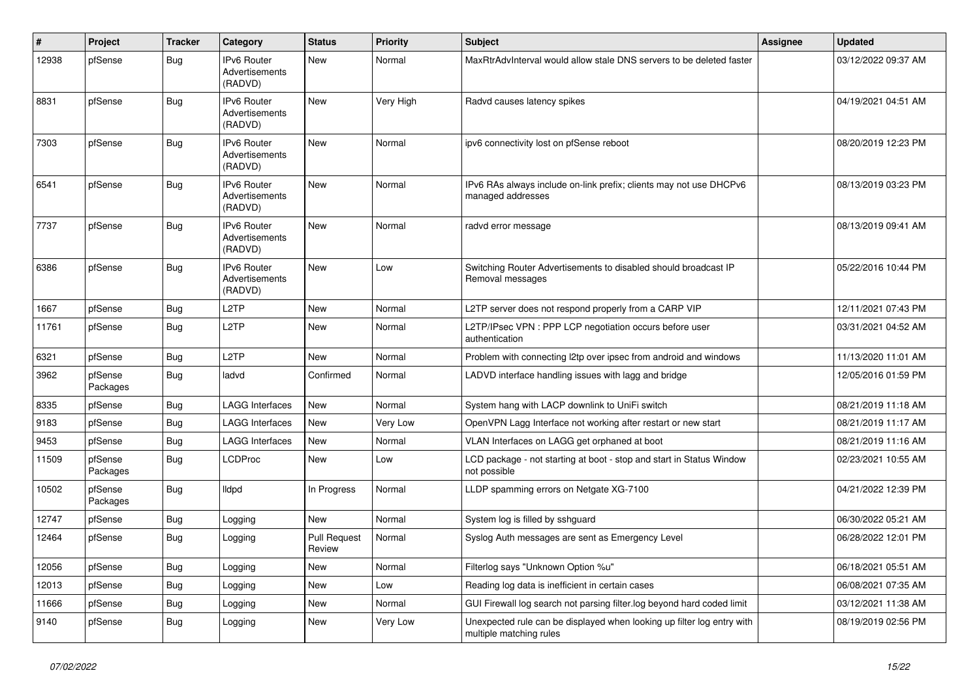| $\vert$ # | Project             | <b>Tracker</b> | Category                                        | <b>Status</b>                 | <b>Priority</b> | <b>Subject</b>                                                                                    | <b>Assignee</b> | <b>Updated</b>      |
|-----------|---------------------|----------------|-------------------------------------------------|-------------------------------|-----------------|---------------------------------------------------------------------------------------------------|-----------------|---------------------|
| 12938     | pfSense             | Bug            | IPv6 Router<br>Advertisements<br>(RADVD)        | <b>New</b>                    | Normal          | MaxRtrAdvInterval would allow stale DNS servers to be deleted faster                              |                 | 03/12/2022 09:37 AM |
| 8831      | pfSense             | Bug            | <b>IPv6 Router</b><br>Advertisements<br>(RADVD) | <b>New</b>                    | Very High       | Radvd causes latency spikes                                                                       |                 | 04/19/2021 04:51 AM |
| 7303      | pfSense             | <b>Bug</b>     | <b>IPv6 Router</b><br>Advertisements<br>(RADVD) | New                           | Normal          | ipv6 connectivity lost on pfSense reboot                                                          |                 | 08/20/2019 12:23 PM |
| 6541      | pfSense             | <b>Bug</b>     | <b>IPv6 Router</b><br>Advertisements<br>(RADVD) | <b>New</b>                    | Normal          | IPv6 RAs always include on-link prefix; clients may not use DHCPv6<br>managed addresses           |                 | 08/13/2019 03:23 PM |
| 7737      | pfSense             | <b>Bug</b>     | IPv6 Router<br>Advertisements<br>(RADVD)        | <b>New</b>                    | Normal          | radvd error message                                                                               |                 | 08/13/2019 09:41 AM |
| 6386      | pfSense             | <b>Bug</b>     | IPv6 Router<br><b>Advertisements</b><br>(RADVD) | <b>New</b>                    | Low             | Switching Router Advertisements to disabled should broadcast IP<br>Removal messages               |                 | 05/22/2016 10:44 PM |
| 1667      | pfSense             | Bug            | L <sub>2</sub> TP                               | <b>New</b>                    | Normal          | L2TP server does not respond properly from a CARP VIP                                             |                 | 12/11/2021 07:43 PM |
| 11761     | pfSense             | Bug            | L2TP                                            | New                           | Normal          | L2TP/IPsec VPN : PPP LCP negotiation occurs before user<br>authentication                         |                 | 03/31/2021 04:52 AM |
| 6321      | pfSense             | Bug            | L2TP                                            | New                           | Normal          | Problem with connecting I2tp over ipsec from android and windows                                  |                 | 11/13/2020 11:01 AM |
| 3962      | pfSense<br>Packages | <b>Bug</b>     | ladvd                                           | Confirmed                     | Normal          | LADVD interface handling issues with lagg and bridge                                              |                 | 12/05/2016 01:59 PM |
| 8335      | pfSense             | Bug            | <b>LAGG Interfaces</b>                          | <b>New</b>                    | Normal          | System hang with LACP downlink to UniFi switch                                                    |                 | 08/21/2019 11:18 AM |
| 9183      | pfSense             | <b>Bug</b>     | LAGG Interfaces                                 | New                           | Very Low        | OpenVPN Lagg Interface not working after restart or new start                                     |                 | 08/21/2019 11:17 AM |
| 9453      | pfSense             | <b>Bug</b>     | <b>LAGG Interfaces</b>                          | <b>New</b>                    | Normal          | VLAN Interfaces on LAGG get orphaned at boot                                                      |                 | 08/21/2019 11:16 AM |
| 11509     | pfSense<br>Packages | Bug            | <b>LCDProc</b>                                  | <b>New</b>                    | Low             | LCD package - not starting at boot - stop and start in Status Window<br>not possible              |                 | 02/23/2021 10:55 AM |
| 10502     | pfSense<br>Packages | <b>Bug</b>     | <b>Ildpd</b>                                    | In Progress                   | Normal          | LLDP spamming errors on Netgate XG-7100                                                           |                 | 04/21/2022 12:39 PM |
| 12747     | pfSense             | <b>Bug</b>     | Logging                                         | New                           | Normal          | System log is filled by sshguard                                                                  |                 | 06/30/2022 05:21 AM |
| 12464     | pfSense             | <b>Bug</b>     | Logging                                         | <b>Pull Request</b><br>Review | Normal          | Syslog Auth messages are sent as Emergency Level                                                  |                 | 06/28/2022 12:01 PM |
| 12056     | pfSense             | Bug            | Logging                                         | <b>New</b>                    | Normal          | Filterlog says "Unknown Option %u"                                                                |                 | 06/18/2021 05:51 AM |
| 12013     | pfSense             | <b>Bug</b>     | Logging                                         | New                           | Low             | Reading log data is inefficient in certain cases                                                  |                 | 06/08/2021 07:35 AM |
| 11666     | pfSense             | <b>Bug</b>     | Logging                                         | New                           | Normal          | GUI Firewall log search not parsing filter.log beyond hard coded limit                            |                 | 03/12/2021 11:38 AM |
| 9140      | pfSense             | <b>Bug</b>     | Logging                                         | New                           | Very Low        | Unexpected rule can be displayed when looking up filter log entry with<br>multiple matching rules |                 | 08/19/2019 02:56 PM |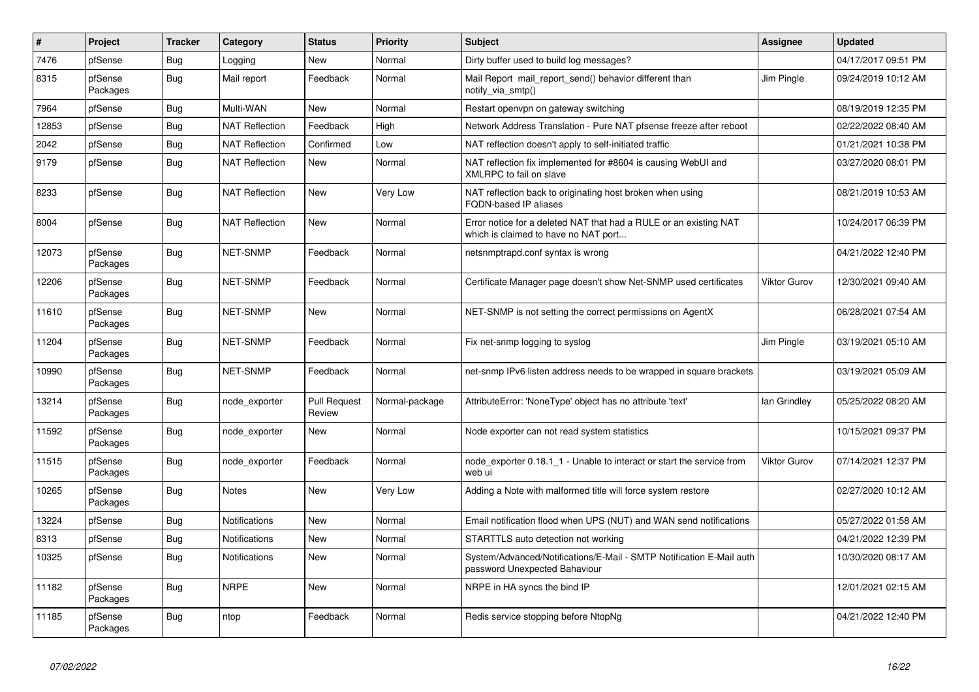| $\sharp$ | Project             | <b>Tracker</b> | Category              | <b>Status</b>                 | <b>Priority</b> | <b>Subject</b>                                                                                            | Assignee     | <b>Updated</b>      |
|----------|---------------------|----------------|-----------------------|-------------------------------|-----------------|-----------------------------------------------------------------------------------------------------------|--------------|---------------------|
| 7476     | pfSense             | <b>Bug</b>     | Logging               | <b>New</b>                    | Normal          | Dirty buffer used to build log messages?                                                                  |              | 04/17/2017 09:51 PM |
| 8315     | pfSense<br>Packages | <b>Bug</b>     | Mail report           | Feedback                      | Normal          | Mail Report mail report send() behavior different than<br>notify_via_smtp()                               | Jim Pingle   | 09/24/2019 10:12 AM |
| 7964     | pfSense             | Bug            | Multi-WAN             | <b>New</b>                    | Normal          | Restart openvpn on gateway switching                                                                      |              | 08/19/2019 12:35 PM |
| 12853    | pfSense             | Bug            | <b>NAT Reflection</b> | Feedback                      | High            | Network Address Translation - Pure NAT pfsense freeze after reboot                                        |              | 02/22/2022 08:40 AM |
| 2042     | pfSense             | Bug            | <b>NAT Reflection</b> | Confirmed                     | Low             | NAT reflection doesn't apply to self-initiated traffic                                                    |              | 01/21/2021 10:38 PM |
| 9179     | pfSense             | <b>Bug</b>     | <b>NAT Reflection</b> | New                           | Normal          | NAT reflection fix implemented for #8604 is causing WebUI and<br>XMLRPC to fail on slave                  |              | 03/27/2020 08:01 PM |
| 8233     | pfSense             | <b>Bug</b>     | <b>NAT Reflection</b> | New                           | Very Low        | NAT reflection back to originating host broken when using<br>FQDN-based IP aliases                        |              | 08/21/2019 10:53 AM |
| 8004     | pfSense             | Bug            | <b>NAT Reflection</b> | New                           | Normal          | Error notice for a deleted NAT that had a RULE or an existing NAT<br>which is claimed to have no NAT port |              | 10/24/2017 06:39 PM |
| 12073    | pfSense<br>Packages | <b>Bug</b>     | <b>NET-SNMP</b>       | Feedback                      | Normal          | netsnmptrapd.conf syntax is wrong                                                                         |              | 04/21/2022 12:40 PM |
| 12206    | pfSense<br>Packages | Bug            | <b>NET-SNMP</b>       | Feedback                      | Normal          | Certificate Manager page doesn't show Net-SNMP used certificates                                          | Viktor Gurov | 12/30/2021 09:40 AM |
| 11610    | pfSense<br>Packages | Bug            | NET-SNMP              | New                           | Normal          | NET-SNMP is not setting the correct permissions on AgentX                                                 |              | 06/28/2021 07:54 AM |
| 11204    | pfSense<br>Packages | <b>Bug</b>     | <b>NET-SNMP</b>       | Feedback                      | Normal          | Fix net-snmp logging to syslog                                                                            | Jim Pingle   | 03/19/2021 05:10 AM |
| 10990    | pfSense<br>Packages | Bug            | NET-SNMP              | Feedback                      | Normal          | net-snmp IPv6 listen address needs to be wrapped in square brackets                                       |              | 03/19/2021 05:09 AM |
| 13214    | pfSense<br>Packages | Bug            | node exporter         | <b>Pull Request</b><br>Review | Normal-package  | AttributeError: 'NoneType' object has no attribute 'text'                                                 | lan Grindley | 05/25/2022 08:20 AM |
| 11592    | pfSense<br>Packages | <b>Bug</b>     | node exporter         | New                           | Normal          | Node exporter can not read system statistics                                                              |              | 10/15/2021 09:37 PM |
| 11515    | pfSense<br>Packages | <b>Bug</b>     | node exporter         | Feedback                      | Normal          | node exporter 0.18.1 1 - Unable to interact or start the service from<br>web ui                           | Viktor Gurov | 07/14/2021 12:37 PM |
| 10265    | pfSense<br>Packages | Bug            | <b>Notes</b>          | <b>New</b>                    | Very Low        | Adding a Note with malformed title will force system restore                                              |              | 02/27/2020 10:12 AM |
| 13224    | pfSense             | <b>Bug</b>     | Notifications         | <b>New</b>                    | Normal          | Email notification flood when UPS (NUT) and WAN send notifications                                        |              | 05/27/2022 01:58 AM |
| 8313     | pfSense             | Bug            | Notifications         | New                           | Normal          | STARTTLS auto detection not working                                                                       |              | 04/21/2022 12:39 PM |
| 10325    | pfSense             | Bug            | <b>Notifications</b>  | <b>New</b>                    | Normal          | System/Advanced/Notifications/E-Mail - SMTP Notification E-Mail auth<br>password Unexpected Bahaviour     |              | 10/30/2020 08:17 AM |
| 11182    | pfSense<br>Packages | Bug            | <b>NRPE</b>           | New                           | Normal          | NRPE in HA syncs the bind IP                                                                              |              | 12/01/2021 02:15 AM |
| 11185    | pfSense<br>Packages | <b>Bug</b>     | ntop                  | Feedback                      | Normal          | Redis service stopping before NtopNg                                                                      |              | 04/21/2022 12:40 PM |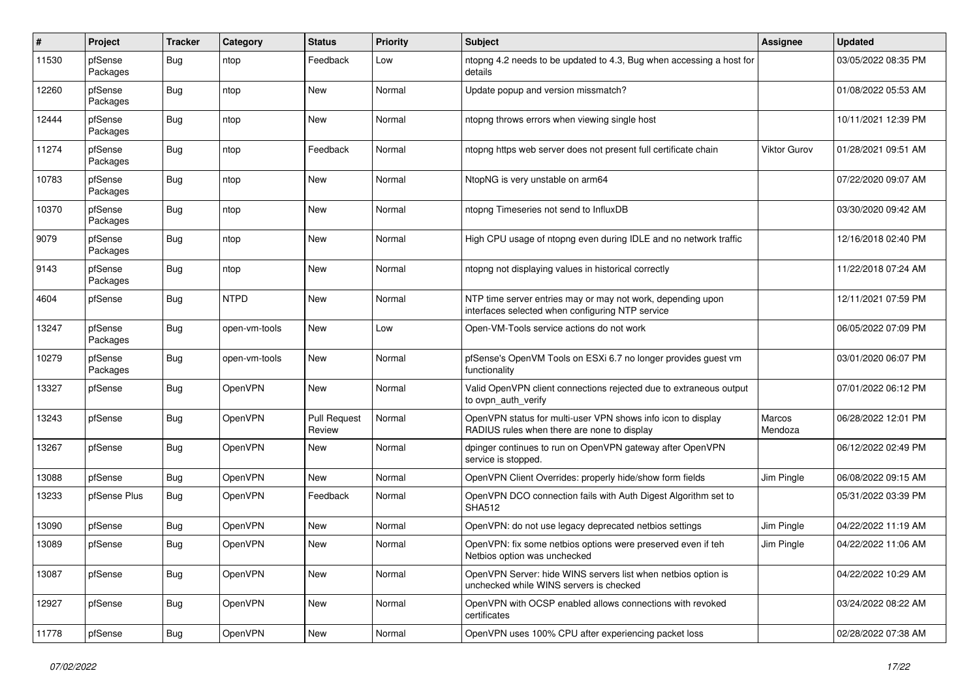| #     | Project             | <b>Tracker</b> | Category       | <b>Status</b>                 | <b>Priority</b> | <b>Subject</b>                                                                                                  | <b>Assignee</b>     | <b>Updated</b>      |
|-------|---------------------|----------------|----------------|-------------------------------|-----------------|-----------------------------------------------------------------------------------------------------------------|---------------------|---------------------|
| 11530 | pfSense<br>Packages | <b>Bug</b>     | ntop           | Feedback                      | Low             | ntopng 4.2 needs to be updated to 4.3, Bug when accessing a host for<br>details                                 |                     | 03/05/2022 08:35 PM |
| 12260 | pfSense<br>Packages | <b>Bug</b>     | ntop           | New                           | Normal          | Update popup and version missmatch?                                                                             |                     | 01/08/2022 05:53 AM |
| 12444 | pfSense<br>Packages | <b>Bug</b>     | ntop           | <b>New</b>                    | Normal          | ntopng throws errors when viewing single host                                                                   |                     | 10/11/2021 12:39 PM |
| 11274 | pfSense<br>Packages | Bug            | ntop           | Feedback                      | Normal          | ntopng https web server does not present full certificate chain                                                 | <b>Viktor Gurov</b> | 01/28/2021 09:51 AM |
| 10783 | pfSense<br>Packages | <b>Bug</b>     | ntop           | New                           | Normal          | NtopNG is very unstable on arm64                                                                                |                     | 07/22/2020 09:07 AM |
| 10370 | pfSense<br>Packages | Bug            | ntop           | New                           | Normal          | ntopng Timeseries not send to InfluxDB                                                                          |                     | 03/30/2020 09:42 AM |
| 9079  | pfSense<br>Packages | <b>Bug</b>     | ntop           | New                           | Normal          | High CPU usage of ntopng even during IDLE and no network traffic                                                |                     | 12/16/2018 02:40 PM |
| 9143  | pfSense<br>Packages | Bug            | ntop           | New                           | Normal          | ntopng not displaying values in historical correctly                                                            |                     | 11/22/2018 07:24 AM |
| 4604  | pfSense             | <b>Bug</b>     | <b>NTPD</b>    | New                           | Normal          | NTP time server entries may or may not work, depending upon<br>interfaces selected when configuring NTP service |                     | 12/11/2021 07:59 PM |
| 13247 | pfSense<br>Packages | Bug            | open-vm-tools  | <b>New</b>                    | Low             | Open-VM-Tools service actions do not work                                                                       |                     | 06/05/2022 07:09 PM |
| 10279 | pfSense<br>Packages | Bug            | open-vm-tools  | <b>New</b>                    | Normal          | pfSense's OpenVM Tools on ESXi 6.7 no longer provides guest vm<br>functionality                                 |                     | 03/01/2020 06:07 PM |
| 13327 | pfSense             | Bug            | OpenVPN        | New                           | Normal          | Valid OpenVPN client connections rejected due to extraneous output<br>to ovpn auth verify                       |                     | 07/01/2022 06:12 PM |
| 13243 | pfSense             | Bug            | OpenVPN        | <b>Pull Request</b><br>Review | Normal          | OpenVPN status for multi-user VPN shows info icon to display<br>RADIUS rules when there are none to display     | Marcos<br>Mendoza   | 06/28/2022 12:01 PM |
| 13267 | pfSense             | <b>Bug</b>     | OpenVPN        | New                           | Normal          | dpinger continues to run on OpenVPN gateway after OpenVPN<br>service is stopped.                                |                     | 06/12/2022 02:49 PM |
| 13088 | pfSense             | Bug            | OpenVPN        | New                           | Normal          | OpenVPN Client Overrides: properly hide/show form fields                                                        | Jim Pingle          | 06/08/2022 09:15 AM |
| 13233 | pfSense Plus        | Bug            | OpenVPN        | Feedback                      | Normal          | OpenVPN DCO connection fails with Auth Digest Algorithm set to<br><b>SHA512</b>                                 |                     | 05/31/2022 03:39 PM |
| 13090 | pfSense             | Bug            | OpenVPN        | New                           | Normal          | OpenVPN: do not use legacy deprecated netbios settings                                                          | Jim Pingle          | 04/22/2022 11:19 AM |
| 13089 | pfSense             | <b>Bug</b>     | OpenVPN        | New                           | Normal          | OpenVPN: fix some netbios options were preserved even if teh<br>Netbios option was unchecked                    | Jim Pingle          | 04/22/2022 11:06 AM |
| 13087 | pfSense             | Bug            | OpenVPN        | New                           | Normal          | OpenVPN Server: hide WINS servers list when netbios option is<br>unchecked while WINS servers is checked        |                     | 04/22/2022 10:29 AM |
| 12927 | pfSense             | Bug            | <b>OpenVPN</b> | New                           | Normal          | OpenVPN with OCSP enabled allows connections with revoked<br>certificates                                       |                     | 03/24/2022 08:22 AM |
| 11778 | pfSense             | Bug            | <b>OpenVPN</b> | New                           | Normal          | OpenVPN uses 100% CPU after experiencing packet loss                                                            |                     | 02/28/2022 07:38 AM |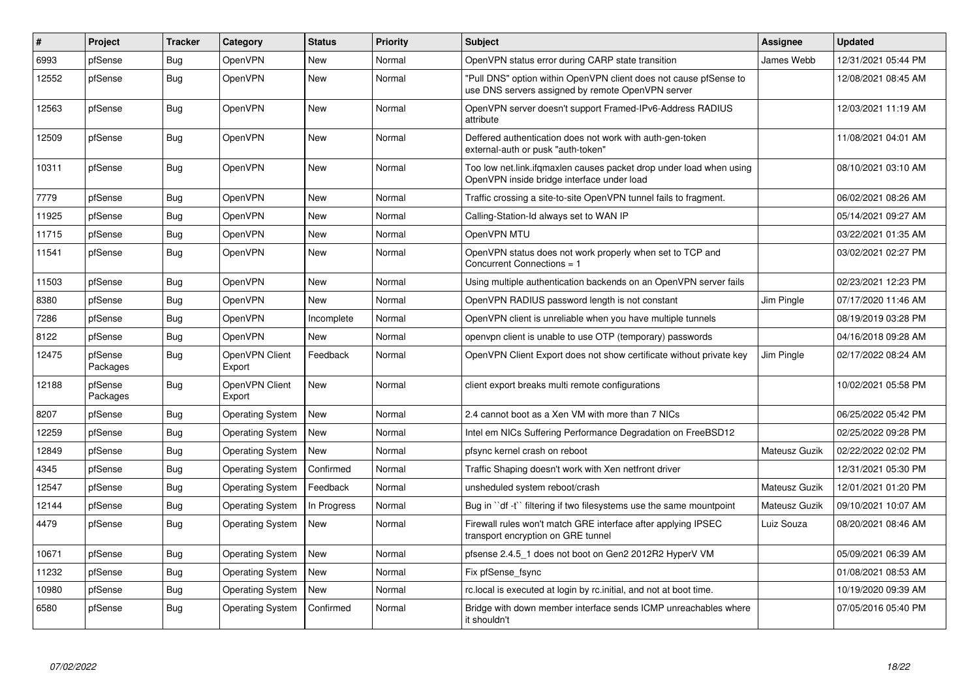| #     | Project             | <b>Tracker</b> | Category                 | <b>Status</b> | <b>Priority</b> | <b>Subject</b>                                                                                                         | <b>Assignee</b> | <b>Updated</b>      |
|-------|---------------------|----------------|--------------------------|---------------|-----------------|------------------------------------------------------------------------------------------------------------------------|-----------------|---------------------|
| 6993  | pfSense             | Bug            | OpenVPN                  | <b>New</b>    | Normal          | OpenVPN status error during CARP state transition                                                                      | James Webb      | 12/31/2021 05:44 PM |
| 12552 | pfSense             | <b>Bug</b>     | <b>OpenVPN</b>           | <b>New</b>    | Normal          | "Pull DNS" option within OpenVPN client does not cause pfSense to<br>use DNS servers assigned by remote OpenVPN server |                 | 12/08/2021 08:45 AM |
| 12563 | pfSense             | Bug            | <b>OpenVPN</b>           | <b>New</b>    | Normal          | OpenVPN server doesn't support Framed-IPv6-Address RADIUS<br>attribute                                                 |                 | 12/03/2021 11:19 AM |
| 12509 | pfSense             | Bug            | <b>OpenVPN</b>           | <b>New</b>    | Normal          | Deffered authentication does not work with auth-gen-token<br>external-auth or pusk "auth-token"                        |                 | 11/08/2021 04:01 AM |
| 10311 | pfSense             | <b>Bug</b>     | <b>OpenVPN</b>           | <b>New</b>    | Normal          | Too low net.link.ifqmaxlen causes packet drop under load when using<br>OpenVPN inside bridge interface under load      |                 | 08/10/2021 03:10 AM |
| 7779  | pfSense             | Bug            | OpenVPN                  | <b>New</b>    | Normal          | Traffic crossing a site-to-site OpenVPN tunnel fails to fragment.                                                      |                 | 06/02/2021 08:26 AM |
| 11925 | pfSense             | Bug            | <b>OpenVPN</b>           | <b>New</b>    | Normal          | Calling-Station-Id always set to WAN IP                                                                                |                 | 05/14/2021 09:27 AM |
| 11715 | pfSense             | <b>Bug</b>     | OpenVPN                  | <b>New</b>    | Normal          | OpenVPN MTU                                                                                                            |                 | 03/22/2021 01:35 AM |
| 11541 | pfSense             | Bug            | <b>OpenVPN</b>           | <b>New</b>    | Normal          | OpenVPN status does not work properly when set to TCP and<br>Concurrent Connections = 1                                |                 | 03/02/2021 02:27 PM |
| 11503 | pfSense             | <b>Bug</b>     | OpenVPN                  | <b>New</b>    | Normal          | Using multiple authentication backends on an OpenVPN server fails                                                      |                 | 02/23/2021 12:23 PM |
| 8380  | pfSense             | <b>Bug</b>     | <b>OpenVPN</b>           | <b>New</b>    | Normal          | OpenVPN RADIUS password length is not constant                                                                         | Jim Pingle      | 07/17/2020 11:46 AM |
| 7286  | pfSense             | <b>Bug</b>     | OpenVPN                  | Incomplete    | Normal          | OpenVPN client is unreliable when you have multiple tunnels                                                            |                 | 08/19/2019 03:28 PM |
| 8122  | pfSense             | Bug            | OpenVPN                  | <b>New</b>    | Normal          | openvpn client is unable to use OTP (temporary) passwords                                                              |                 | 04/16/2018 09:28 AM |
| 12475 | pfSense<br>Packages | Bug            | OpenVPN Client<br>Export | Feedback      | Normal          | OpenVPN Client Export does not show certificate without private key                                                    | Jim Pingle      | 02/17/2022 08:24 AM |
| 12188 | pfSense<br>Packages | <b>Bug</b>     | OpenVPN Client<br>Export | <b>New</b>    | Normal          | client export breaks multi remote configurations                                                                       |                 | 10/02/2021 05:58 PM |
| 8207  | pfSense             | <b>Bug</b>     | <b>Operating System</b>  | <b>New</b>    | Normal          | 2.4 cannot boot as a Xen VM with more than 7 NICs                                                                      |                 | 06/25/2022 05:42 PM |
| 12259 | pfSense             | <b>Bug</b>     | <b>Operating System</b>  | New           | Normal          | Intel em NICs Suffering Performance Degradation on FreeBSD12                                                           |                 | 02/25/2022 09:28 PM |
| 12849 | pfSense             | Bug            | <b>Operating System</b>  | <b>New</b>    | Normal          | pfsync kernel crash on reboot                                                                                          | Mateusz Guzik   | 02/22/2022 02:02 PM |
| 4345  | pfSense             | Bug            | <b>Operating System</b>  | Confirmed     | Normal          | Traffic Shaping doesn't work with Xen netfront driver                                                                  |                 | 12/31/2021 05:30 PM |
| 12547 | pfSense             | <b>Bug</b>     | Operating System         | Feedback      | Normal          | unsheduled system reboot/crash                                                                                         | Mateusz Guzik   | 12/01/2021 01:20 PM |
| 12144 | pfSense             | <b>Bug</b>     | <b>Operating System</b>  | In Progress   | Normal          | Bug in "df -t" filtering if two filesystems use the same mountpoint                                                    | Mateusz Guzik   | 09/10/2021 10:07 AM |
| 4479  | pfSense             | Bug            | <b>Operating System</b>  | <b>New</b>    | Normal          | Firewall rules won't match GRE interface after applying IPSEC<br>transport encryption on GRE tunnel                    | Luiz Souza      | 08/20/2021 08:46 AM |
| 10671 | pfSense             | Bug            | <b>Operating System</b>  | <b>New</b>    | Normal          | pfsense 2.4.5 1 does not boot on Gen2 2012R2 HyperV VM                                                                 |                 | 05/09/2021 06:39 AM |
| 11232 | pfSense             | Bug            | <b>Operating System</b>  | <b>New</b>    | Normal          | Fix pfSense fsync                                                                                                      |                 | 01/08/2021 08:53 AM |
| 10980 | pfSense             | <b>Bug</b>     | <b>Operating System</b>  | <b>New</b>    | Normal          | rc. local is executed at login by rc. initial, and not at boot time.                                                   |                 | 10/19/2020 09:39 AM |
| 6580  | pfSense             | <b>Bug</b>     | <b>Operating System</b>  | Confirmed     | Normal          | Bridge with down member interface sends ICMP unreachables where<br>it shouldn't                                        |                 | 07/05/2016 05:40 PM |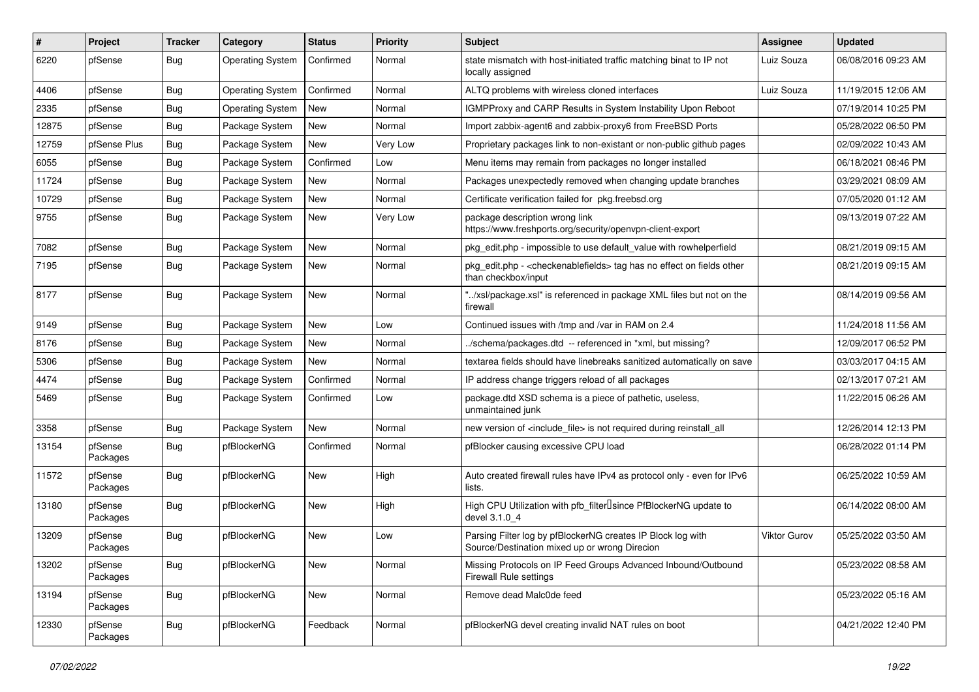| $\sharp$ | Project             | <b>Tracker</b> | Category                | <b>Status</b> | Priority | Subject                                                                                                          | <b>Assignee</b>     | <b>Updated</b>      |
|----------|---------------------|----------------|-------------------------|---------------|----------|------------------------------------------------------------------------------------------------------------------|---------------------|---------------------|
| 6220     | pfSense             | Bug            | <b>Operating System</b> | Confirmed     | Normal   | state mismatch with host-initiated traffic matching binat to IP not<br>locally assigned                          | Luiz Souza          | 06/08/2016 09:23 AM |
| 4406     | pfSense             | Bug            | <b>Operating System</b> | Confirmed     | Normal   | ALTQ problems with wireless cloned interfaces                                                                    | Luiz Souza          | 11/19/2015 12:06 AM |
| 2335     | pfSense             | Bug            | <b>Operating System</b> | New           | Normal   | IGMPProxy and CARP Results in System Instability Upon Reboot                                                     |                     | 07/19/2014 10:25 PM |
| 12875    | pfSense             | Bug            | Package System          | <b>New</b>    | Normal   | Import zabbix-agent6 and zabbix-proxy6 from FreeBSD Ports                                                        |                     | 05/28/2022 06:50 PM |
| 12759    | pfSense Plus        | Bug            | Package System          | <b>New</b>    | Very Low | Proprietary packages link to non-existant or non-public github pages                                             |                     | 02/09/2022 10:43 AM |
| 6055     | pfSense             | <b>Bug</b>     | Package System          | Confirmed     | Low      | Menu items may remain from packages no longer installed                                                          |                     | 06/18/2021 08:46 PM |
| 11724    | pfSense             | <b>Bug</b>     | Package System          | <b>New</b>    | Normal   | Packages unexpectedly removed when changing update branches                                                      |                     | 03/29/2021 08:09 AM |
| 10729    | pfSense             | Bug            | Package System          | New           | Normal   | Certificate verification failed for pkg.freebsd.org                                                              |                     | 07/05/2020 01:12 AM |
| 9755     | pfSense             | Bug            | Package System          | New           | Very Low | package description wrong link<br>https://www.freshports.org/security/openvpn-client-export                      |                     | 09/13/2019 07:22 AM |
| 7082     | pfSense             | Bug            | Package System          | <b>New</b>    | Normal   | pkg edit.php - impossible to use default value with rowhelperfield                                               |                     | 08/21/2019 09:15 AM |
| 7195     | pfSense             | <b>Bug</b>     | Package System          | <b>New</b>    | Normal   | pkg_edit.php - <checkenablefields> tag has no effect on fields other<br/>than checkbox/input</checkenablefields> |                     | 08/21/2019 09:15 AM |
| 8177     | pfSense             | Bug            | Package System          | New           | Normal   | "/xsl/package.xsl" is referenced in package XML files but not on the<br>firewall                                 |                     | 08/14/2019 09:56 AM |
| 9149     | pfSense             | Bug            | Package System          | <b>New</b>    | Low      | Continued issues with /tmp and /var in RAM on 2.4                                                                |                     | 11/24/2018 11:56 AM |
| 8176     | pfSense             | <b>Bug</b>     | Package System          | <b>New</b>    | Normal   | ./schema/packages.dtd -- referenced in *xml, but missing?                                                        |                     | 12/09/2017 06:52 PM |
| 5306     | pfSense             | Bug            | Package System          | New           | Normal   | textarea fields should have linebreaks sanitized automatically on save                                           |                     | 03/03/2017 04:15 AM |
| 4474     | pfSense             | Bug            | Package System          | Confirmed     | Normal   | IP address change triggers reload of all packages                                                                |                     | 02/13/2017 07:21 AM |
| 5469     | pfSense             | <b>Bug</b>     | Package System          | Confirmed     | Low      | package.dtd XSD schema is a piece of pathetic, useless,<br>unmaintained junk                                     |                     | 11/22/2015 06:26 AM |
| 3358     | pfSense             | Bug            | Package System          | New           | Normal   | new version of <include_file> is not required during reinstall_all</include_file>                                |                     | 12/26/2014 12:13 PM |
| 13154    | pfSense<br>Packages | <b>Bug</b>     | pfBlockerNG             | Confirmed     | Normal   | pfBlocker causing excessive CPU load                                                                             |                     | 06/28/2022 01:14 PM |
| 11572    | pfSense<br>Packages | Bug            | pfBlockerNG             | New           | High     | Auto created firewall rules have IPv4 as protocol only - even for IPv6<br>lists.                                 |                     | 06/25/2022 10:59 AM |
| 13180    | pfSense<br>Packages | <b>Bug</b>     | pfBlockerNG             | <b>New</b>    | High     | High CPU Utilization with pfb_filter <sup>[]</sup> since PfBlockerNG update to<br>devel 3.1.0 4                  |                     | 06/14/2022 08:00 AM |
| 13209    | pfSense<br>Packages | <b>Bug</b>     | pfBlockerNG             | <b>New</b>    | Low      | Parsing Filter log by pfBlockerNG creates IP Block log with<br>Source/Destination mixed up or wrong Direcion     | <b>Viktor Gurov</b> | 05/25/2022 03:50 AM |
| 13202    | pfSense<br>Packages | <b>Bug</b>     | pfBlockerNG             | <b>New</b>    | Normal   | Missing Protocols on IP Feed Groups Advanced Inbound/Outbound<br><b>Firewall Rule settings</b>                   |                     | 05/23/2022 08:58 AM |
| 13194    | pfSense<br>Packages | <b>Bug</b>     | pfBlockerNG             | New           | Normal   | Remove dead Malc0de feed                                                                                         |                     | 05/23/2022 05:16 AM |
| 12330    | pfSense<br>Packages | i Bug          | pfBlockerNG             | Feedback      | Normal   | pfBlockerNG devel creating invalid NAT rules on boot                                                             |                     | 04/21/2022 12:40 PM |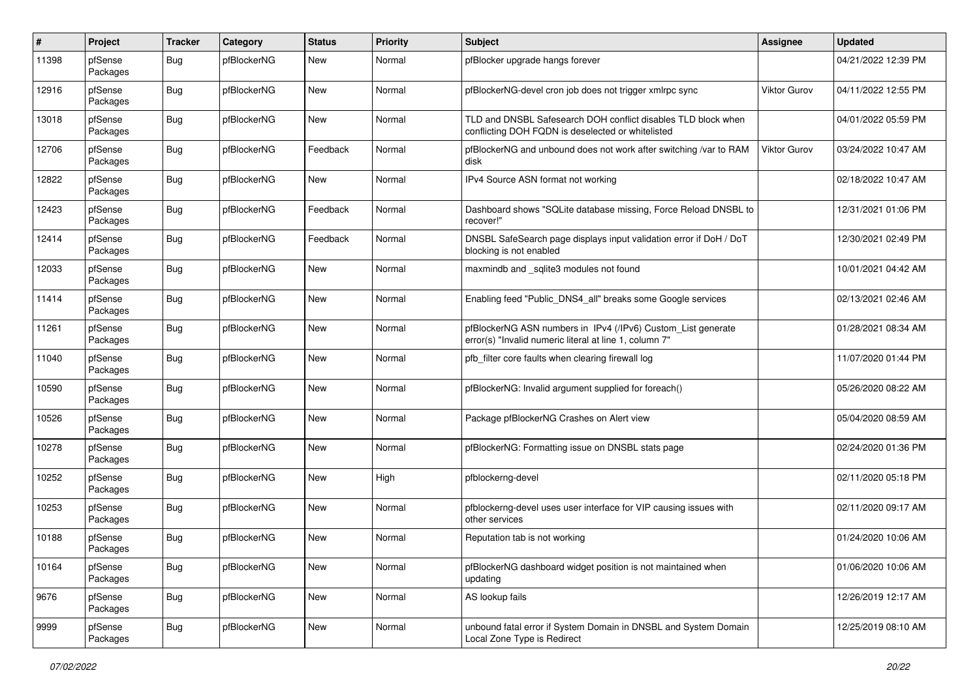| $\#$  | Project             | <b>Tracker</b> | Category    | <b>Status</b> | <b>Priority</b> | Subject                                                                                                                | <b>Assignee</b>     | <b>Updated</b>      |
|-------|---------------------|----------------|-------------|---------------|-----------------|------------------------------------------------------------------------------------------------------------------------|---------------------|---------------------|
| 11398 | pfSense<br>Packages | Bug            | pfBlockerNG | New           | Normal          | pfBlocker upgrade hangs forever                                                                                        |                     | 04/21/2022 12:39 PM |
| 12916 | pfSense<br>Packages | Bug            | pfBlockerNG | New           | Normal          | pfBlockerNG-devel cron job does not trigger xmlrpc sync                                                                | Viktor Gurov        | 04/11/2022 12:55 PM |
| 13018 | pfSense<br>Packages | <b>Bug</b>     | pfBlockerNG | New           | Normal          | TLD and DNSBL Safesearch DOH conflict disables TLD block when<br>conflicting DOH FQDN is deselected or whitelisted     |                     | 04/01/2022 05:59 PM |
| 12706 | pfSense<br>Packages | Bug            | pfBlockerNG | Feedback      | Normal          | pfBlockerNG and unbound does not work after switching /var to RAM<br>disk                                              | <b>Viktor Gurov</b> | 03/24/2022 10:47 AM |
| 12822 | pfSense<br>Packages | <b>Bug</b>     | pfBlockerNG | New           | Normal          | IPv4 Source ASN format not working                                                                                     |                     | 02/18/2022 10:47 AM |
| 12423 | pfSense<br>Packages | Bug            | pfBlockerNG | Feedback      | Normal          | Dashboard shows "SQLite database missing, Force Reload DNSBL to<br>recover!"                                           |                     | 12/31/2021 01:06 PM |
| 12414 | pfSense<br>Packages | Bug            | pfBlockerNG | Feedback      | Normal          | DNSBL SafeSearch page displays input validation error if DoH / DoT<br>blocking is not enabled                          |                     | 12/30/2021 02:49 PM |
| 12033 | pfSense<br>Packages | Bug            | pfBlockerNG | New           | Normal          | maxmindb and _sqlite3 modules not found                                                                                |                     | 10/01/2021 04:42 AM |
| 11414 | pfSense<br>Packages | <b>Bug</b>     | pfBlockerNG | New           | Normal          | Enabling feed "Public_DNS4_all" breaks some Google services                                                            |                     | 02/13/2021 02:46 AM |
| 11261 | pfSense<br>Packages | <b>Bug</b>     | pfBlockerNG | New           | Normal          | pfBlockerNG ASN numbers in IPv4 (/IPv6) Custom_List generate<br>error(s) "Invalid numeric literal at line 1, column 7" |                     | 01/28/2021 08:34 AM |
| 11040 | pfSense<br>Packages | Bug            | pfBlockerNG | New           | Normal          | pfb_filter core faults when clearing firewall log                                                                      |                     | 11/07/2020 01:44 PM |
| 10590 | pfSense<br>Packages | Bug            | pfBlockerNG | New           | Normal          | pfBlockerNG: Invalid argument supplied for foreach()                                                                   |                     | 05/26/2020 08:22 AM |
| 10526 | pfSense<br>Packages | Bug            | pfBlockerNG | New           | Normal          | Package pfBlockerNG Crashes on Alert view                                                                              |                     | 05/04/2020 08:59 AM |
| 10278 | pfSense<br>Packages | <b>Bug</b>     | pfBlockerNG | New           | Normal          | pfBlockerNG: Formatting issue on DNSBL stats page                                                                      |                     | 02/24/2020 01:36 PM |
| 10252 | pfSense<br>Packages | Bug            | pfBlockerNG | New           | High            | pfblockerng-devel                                                                                                      |                     | 02/11/2020 05:18 PM |
| 10253 | pfSense<br>Packages | Bug            | pfBlockerNG | New           | Normal          | pfblockerng-devel uses user interface for VIP causing issues with<br>other services                                    |                     | 02/11/2020 09:17 AM |
| 10188 | pfSense<br>Packages | <b>Bug</b>     | pfBlockerNG | New           | Normal          | Reputation tab is not working                                                                                          |                     | 01/24/2020 10:06 AM |
| 10164 | pfSense<br>Packages | <b>Bug</b>     | pfBlockerNG | New           | Normal          | pfBlockerNG dashboard widget position is not maintained when<br>updating                                               |                     | 01/06/2020 10:06 AM |
| 9676  | pfSense<br>Packages | <b>Bug</b>     | pfBlockerNG | New           | Normal          | AS lookup fails                                                                                                        |                     | 12/26/2019 12:17 AM |
| 9999  | pfSense<br>Packages | <b>Bug</b>     | pfBlockerNG | New           | Normal          | unbound fatal error if System Domain in DNSBL and System Domain<br>Local Zone Type is Redirect                         |                     | 12/25/2019 08:10 AM |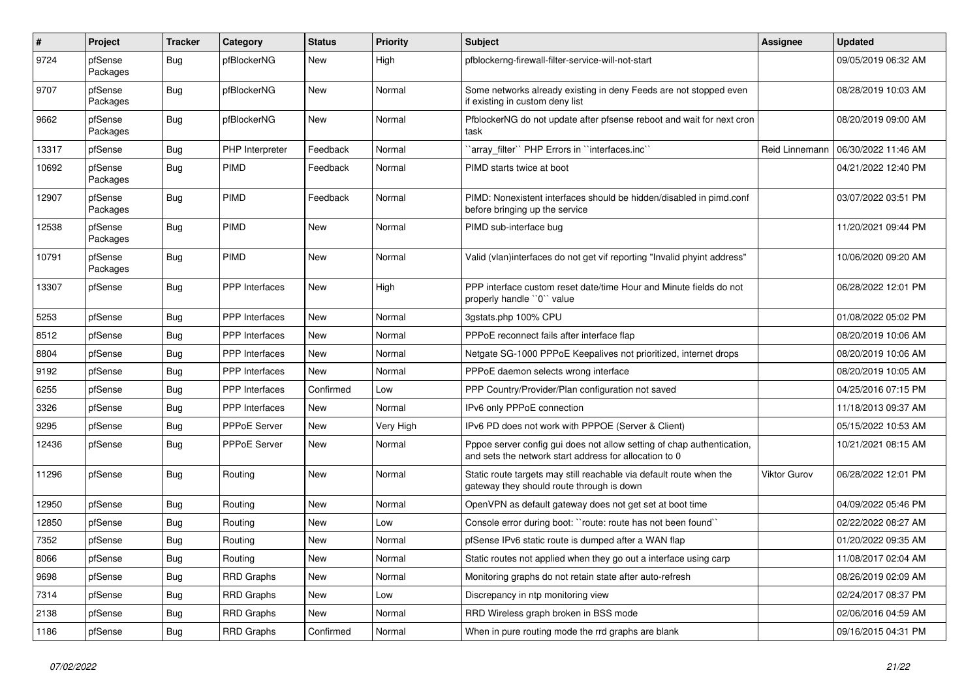| $\pmb{\#}$ | Project             | <b>Tracker</b> | Category              | <b>Status</b> | <b>Priority</b> | <b>Subject</b>                                                                                                                   | Assignee       | <b>Updated</b>      |
|------------|---------------------|----------------|-----------------------|---------------|-----------------|----------------------------------------------------------------------------------------------------------------------------------|----------------|---------------------|
| 9724       | pfSense<br>Packages | <b>Bug</b>     | pfBlockerNG           | New           | High            | pfblockerng-firewall-filter-service-will-not-start                                                                               |                | 09/05/2019 06:32 AM |
| 9707       | pfSense<br>Packages | Bug            | pfBlockerNG           | <b>New</b>    | Normal          | Some networks already existing in deny Feeds are not stopped even<br>if existing in custom deny list                             |                | 08/28/2019 10:03 AM |
| 9662       | pfSense<br>Packages | Bug            | pfBlockerNG           | New           | Normal          | PfblockerNG do not update after pfsense reboot and wait for next cron<br>task                                                    |                | 08/20/2019 09:00 AM |
| 13317      | pfSense             | <b>Bug</b>     | PHP Interpreter       | Feedback      | Normal          | `array_filter`` PHP Errors in ``interfaces.inc``                                                                                 | Reid Linnemann | 06/30/2022 11:46 AM |
| 10692      | pfSense<br>Packages | Bug            | <b>PIMD</b>           | Feedback      | Normal          | PIMD starts twice at boot                                                                                                        |                | 04/21/2022 12:40 PM |
| 12907      | pfSense<br>Packages | <b>Bug</b>     | <b>PIMD</b>           | Feedback      | Normal          | PIMD: Nonexistent interfaces should be hidden/disabled in pimd.conf<br>before bringing up the service                            |                | 03/07/2022 03:51 PM |
| 12538      | pfSense<br>Packages | Bug            | <b>PIMD</b>           | New           | Normal          | PIMD sub-interface bug                                                                                                           |                | 11/20/2021 09:44 PM |
| 10791      | pfSense<br>Packages | Bug            | PIMD                  | <b>New</b>    | Normal          | Valid (vlan)interfaces do not get vif reporting "Invalid phyint address"                                                         |                | 10/06/2020 09:20 AM |
| 13307      | pfSense             | <b>Bug</b>     | PPP Interfaces        | New           | High            | PPP interface custom reset date/time Hour and Minute fields do not<br>properly handle "0" value                                  |                | 06/28/2022 12:01 PM |
| 5253       | pfSense             | Bug            | <b>PPP</b> Interfaces | <b>New</b>    | Normal          | 3gstats.php 100% CPU                                                                                                             |                | 01/08/2022 05:02 PM |
| 8512       | pfSense             | <b>Bug</b>     | <b>PPP</b> Interfaces | New           | Normal          | PPPoE reconnect fails after interface flap                                                                                       |                | 08/20/2019 10:06 AM |
| 8804       | pfSense             | <b>Bug</b>     | <b>PPP</b> Interfaces | New           | Normal          | Netgate SG-1000 PPPoE Keepalives not prioritized, internet drops                                                                 |                | 08/20/2019 10:06 AM |
| 9192       | pfSense             | <b>Bug</b>     | <b>PPP</b> Interfaces | <b>New</b>    | Normal          | PPPoE daemon selects wrong interface                                                                                             |                | 08/20/2019 10:05 AM |
| 6255       | pfSense             | <b>Bug</b>     | PPP Interfaces        | Confirmed     | Low             | PPP Country/Provider/Plan configuration not saved                                                                                |                | 04/25/2016 07:15 PM |
| 3326       | pfSense             | <b>Bug</b>     | PPP Interfaces        | New           | Normal          | IPv6 only PPPoE connection                                                                                                       |                | 11/18/2013 09:37 AM |
| 9295       | pfSense             | <b>Bug</b>     | <b>PPPoE Server</b>   | New           | Very High       | IPv6 PD does not work with PPPOE (Server & Client)                                                                               |                | 05/15/2022 10:53 AM |
| 12436      | pfSense             | Bug            | <b>PPPoE Server</b>   | <b>New</b>    | Normal          | Pppoe server config gui does not allow setting of chap authentication,<br>and sets the network start address for allocation to 0 |                | 10/21/2021 08:15 AM |
| 11296      | pfSense             | Bug            | Routing               | <b>New</b>    | Normal          | Static route targets may still reachable via default route when the<br>gateway they should route through is down                 | Viktor Gurov   | 06/28/2022 12:01 PM |
| 12950      | pfSense             | Bug            | Routing               | New           | Normal          | OpenVPN as default gateway does not get set at boot time                                                                         |                | 04/09/2022 05:46 PM |
| 12850      | pfSense             | <b>Bug</b>     | Routing               | New           | Low             | Console error during boot: "route: route has not been found"                                                                     |                | 02/22/2022 08:27 AM |
| 7352       | pfSense             | <b>Bug</b>     | Routing               | New           | Normal          | pfSense IPv6 static route is dumped after a WAN flap                                                                             |                | 01/20/2022 09:35 AM |
| 8066       | pfSense             | <b>Bug</b>     | Routing               | New           | Normal          | Static routes not applied when they go out a interface using carp                                                                |                | 11/08/2017 02:04 AM |
| 9698       | pfSense             | <b>Bug</b>     | <b>RRD Graphs</b>     | New           | Normal          | Monitoring graphs do not retain state after auto-refresh                                                                         |                | 08/26/2019 02:09 AM |
| 7314       | pfSense             | <b>Bug</b>     | <b>RRD Graphs</b>     | New           | Low             | Discrepancy in ntp monitoring view                                                                                               |                | 02/24/2017 08:37 PM |
| 2138       | pfSense             | <b>Bug</b>     | <b>RRD Graphs</b>     | New           | Normal          | RRD Wireless graph broken in BSS mode                                                                                            |                | 02/06/2016 04:59 AM |
| 1186       | pfSense             | <b>Bug</b>     | <b>RRD Graphs</b>     | Confirmed     | Normal          | When in pure routing mode the rrd graphs are blank                                                                               |                | 09/16/2015 04:31 PM |